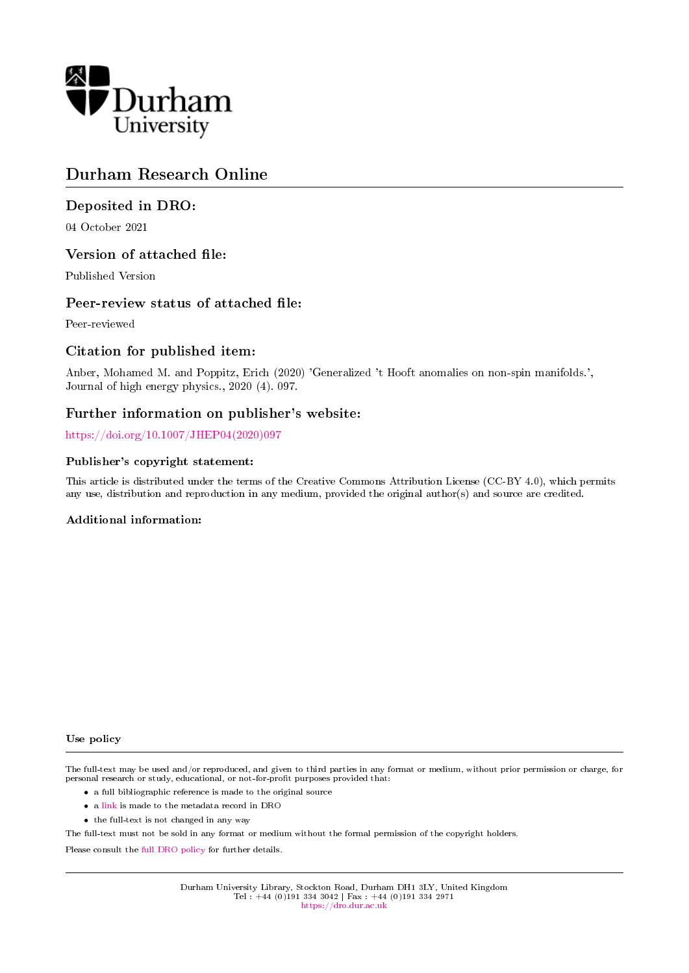

# Durham Research Online

# Deposited in DRO:

04 October 2021

# Version of attached file:

Published Version

# Peer-review status of attached file:

Peer-reviewed

# Citation for published item:

Anber, Mohamed M. and Poppitz, Erich (2020) 'Generalized 't Hooft anomalies on non-spin manifolds.', Journal of high energy physics., 2020 (4). 097.

# Further information on publisher's website:

[https://doi.org/10.1007/JHEP04\(2020\)097](https://doi.org/10.1007/JHEP04(2020)097)

### Publisher's copyright statement:

This article is distributed under the terms of the Creative Commons Attribution License (CC-BY 4.0), which permits any use, distribution and reproduction in any medium, provided the original author(s) and source are credited.

### Additional information:

#### Use policy

The full-text may be used and/or reproduced, and given to third parties in any format or medium, without prior permission or charge, for personal research or study, educational, or not-for-profit purposes provided that:

- a full bibliographic reference is made to the original source
- a [link](http://dro.dur.ac.uk/34025/) is made to the metadata record in DRO
- the full-text is not changed in any way

The full-text must not be sold in any format or medium without the formal permission of the copyright holders.

Please consult the [full DRO policy](https://dro.dur.ac.uk/policies/usepolicy.pdf) for further details.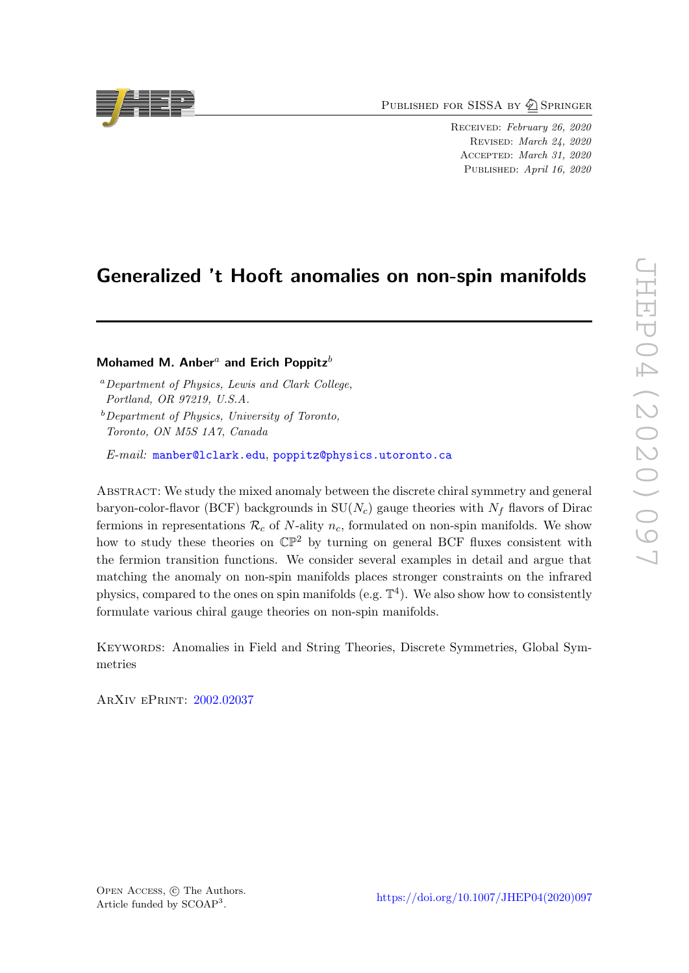PUBLISHED FOR SISSA BY 2 SPRINGER

Received: February 26, 2020 Revised: March 24, 2020 Accepted: March 31, 2020 PUBLISHED: April 16, 2020

# Generalized 't Hooft anomalies on non-spin manifolds

## Mohamed M. Anber<sup>a</sup> and Erich Poppitz<sup>b</sup>

<sup>a</sup>Department of Physics, Lewis and Clark College, Portland, OR 97219, U.S.A.

 $b$ Department of Physics, University of Toronto, Toronto, ON M5S 1A7, Canada

E-mail: [manber@lclark.edu](mailto:manber@lclark.edu), [poppitz@physics.utoronto.ca](mailto:poppitz@physics.utoronto.ca)

Abstract: We study the mixed anomaly between the discrete chiral symmetry and general baryon-color-flavor (BCF) backgrounds in  $SU(N_c)$  gauge theories with  $N_f$  flavors of Dirac fermions in representations  $\mathcal{R}_c$  of N-ality  $n_c$ , formulated on non-spin manifolds. We show how to study these theories on  $\mathbb{CP}^2$  by turning on general BCF fluxes consistent with the fermion transition functions. We consider several examples in detail and argue that matching the anomaly on non-spin manifolds places stronger constraints on the infrared physics, compared to the ones on spin manifolds (e.g.  $\mathbb{T}^4$ ). We also show how to consistently formulate various chiral gauge theories on non-spin manifolds.

Keywords: Anomalies in Field and String Theories, Discrete Symmetries, Global Symmetries

ArXiv ePrint: [2002.02037](https://arxiv.org/abs/2002.02037)



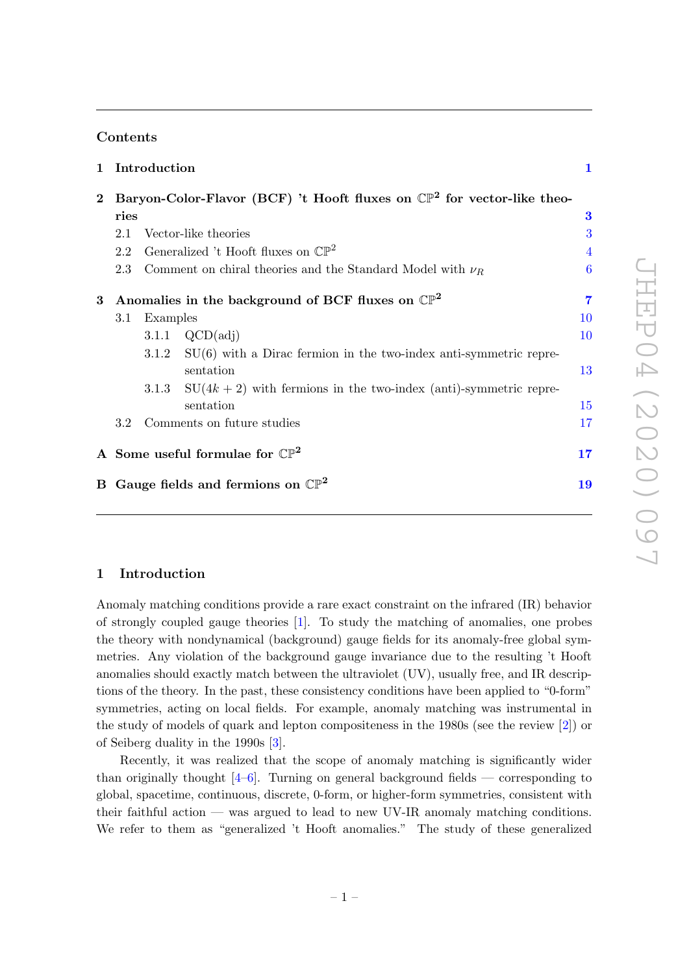### Contents

|          | 1 Introduction                                                                     |       |                                                                           | $\mathbf 1$    |
|----------|------------------------------------------------------------------------------------|-------|---------------------------------------------------------------------------|----------------|
| $\bf{2}$ | Baryon-Color-Flavor (BCF) 't Hooft fluxes on $\mathbb{CP}^2$ for vector-like theo- |       |                                                                           |                |
|          | ries                                                                               |       |                                                                           | $\bf{3}$       |
|          | 2.1                                                                                |       | Vector-like theories                                                      | 3              |
|          | Generalized 't Hooft fluxes on $\mathbb{CP}^2$<br>2.2                              |       |                                                                           | $\overline{4}$ |
|          | 2.3                                                                                |       | Comment on chiral theories and the Standard Model with $\nu_R$            | 6              |
| 3        |                                                                                    |       | Anomalies in the background of BCF fluxes on $\mathbb{CP}^2$              | 7              |
|          | Examples<br>3.1                                                                    |       |                                                                           | 10             |
|          |                                                                                    |       | 3.1.1 $QCD(\text{adj})$                                                   | 10             |
|          |                                                                                    |       | $3.1.2$ SU(6) with a Dirac fermion in the two-index anti-symmetric repre- |                |
|          |                                                                                    |       | sentation                                                                 | 13             |
|          |                                                                                    | 3.1.3 | $SU(4k+2)$ with fermions in the two-index (anti)-symmetric repre-         |                |
|          |                                                                                    |       | sentation                                                                 | 15             |
|          | 3.2 Comments on future studies                                                     |       |                                                                           | 17             |
|          | A Some useful formulae for $\mathbb{CP}^2$                                         |       |                                                                           | 17             |
|          | B Gauge fields and fermions on $\mathbb{CP}^2$                                     |       |                                                                           | 19             |
|          |                                                                                    |       |                                                                           |                |

### <span id="page-2-0"></span>1 Introduction

Anomaly matching conditions provide a rare exact constraint on the infrared (IR) behavior of strongly coupled gauge theories [\[1\]](#page-23-0). To study the matching of anomalies, one probes the theory with nondynamical (background) gauge fields for its anomaly-free global symmetries. Any violation of the background gauge invariance due to the resulting 't Hooft anomalies should exactly match between the ultraviolet (UV), usually free, and IR descriptions of the theory. In the past, these consistency conditions have been applied to "0-form" symmetries, acting on local fields. For example, anomaly matching was instrumental in the study of models of quark and lepton compositeness in the 1980s (see the review [\[2\]](#page-23-1)) or of Seiberg duality in the 1990s [\[3\]](#page-24-0).

Recently, it was realized that the scope of anomaly matching is significantly wider than originally thought  $[4-6]$  $[4-6]$ . Turning on general background fields — corresponding to global, spacetime, continuous, discrete, 0-form, or higher-form symmetries, consistent with their faithful action — was argued to lead to new UV-IR anomaly matching conditions. We refer to them as "generalized 't Hooft anomalies." The study of these generalized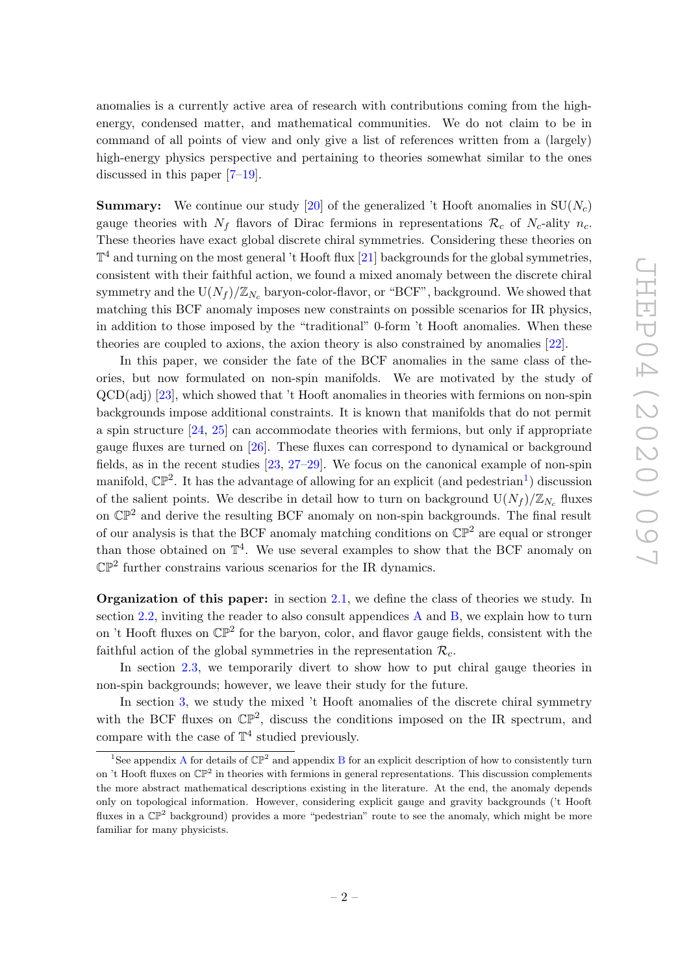anomalies is a currently active area of research with contributions coming from the highenergy, condensed matter, and mathematical communities. We do not claim to be in command of all points of view and only give a list of references written from a (largely) high-energy physics perspective and pertaining to theories somewhat similar to the ones discussed in this paper [\[7](#page-24-3)[–19\]](#page-24-4).

**Summary:** We continue our study [\[20\]](#page-24-5) of the generalized 't Hooft anomalies in  $SU(N_c)$ gauge theories with  $N_f$  flavors of Dirac fermions in representations  $\mathcal{R}_c$  of  $N_c$ -ality  $n_c$ . These theories have exact global discrete chiral symmetries. Considering these theories on  $\mathbb{T}^4$  and turning on the most general 't Hooft flux [\[21\]](#page-24-6) backgrounds for the global symmetries, consistent with their faithful action, we found a mixed anomaly between the discrete chiral symmetry and the  $U(N_f)/\mathbb{Z}_{N_c}$  baryon-color-flavor, or "BCF", background. We showed that matching this BCF anomaly imposes new constraints on possible scenarios for IR physics, in addition to those imposed by the "traditional" 0-form 't Hooft anomalies. When these theories are coupled to axions, the axion theory is also constrained by anomalies [\[22\]](#page-25-0).

In this paper, we consider the fate of the BCF anomalies in the same class of theories, but now formulated on non-spin manifolds. We are motivated by the study of QCD(adj) [\[23\]](#page-25-1), which showed that 't Hooft anomalies in theories with fermions on non-spin backgrounds impose additional constraints. It is known that manifolds that do not permit a spin structure [\[24,](#page-25-2) [25\]](#page-25-3) can accommodate theories with fermions, but only if appropriate gauge fluxes are turned on [\[26\]](#page-25-4). These fluxes can correspond to dynamical or background fields, as in the recent studies [\[23,](#page-25-1) [27](#page-25-5)[–29\]](#page-25-6). We focus on the canonical example of non-spin manifold,  $\mathbb{CP}^2$ . It has the advantage of allowing for an explicit (and pedestrian<sup>[1](#page-3-0)</sup>) discussion of the salient points. We describe in detail how to turn on background  $U(N_f)/\mathbb{Z}_{N_c}$  fluxes on  $\mathbb{CP}^2$  and derive the resulting BCF anomaly on non-spin backgrounds. The final result of our analysis is that the BCF anomaly matching conditions on  $\mathbb{CP}^2$  are equal or stronger than those obtained on  $\mathbb{T}^4$ . We use several examples to show that the BCF anomaly on  $\mathbb{CP}^2$  further constrains various scenarios for the IR dynamics.

Organization of this paper: in section [2.1,](#page-4-1) we define the class of theories we study. In section [2.2,](#page-5-0) inviting the reader to also consult appendices [A](#page-18-1) and [B,](#page-20-0) we explain how to turn on 't Hooft fluxes on  $\mathbb{CP}^2$  for the baryon, color, and flavor gauge fields, consistent with the faithful action of the global symmetries in the representation  $\mathcal{R}_c$ .

In section [2.3,](#page-7-0) we temporarily divert to show how to put chiral gauge theories in non-spin backgrounds; however, we leave their study for the future.

In section [3,](#page-8-0) we study the mixed 't Hooft anomalies of the discrete chiral symmetry with the BCF fluxes on  $\mathbb{CP}^2$ , discuss the conditions imposed on the IR spectrum, and compare with the case of  $\mathbb{T}^4$  studied previously.

<span id="page-3-0"></span><sup>&</sup>lt;sup>1</sup>See appendix [A](#page-18-1) for details of  $\mathbb{CP}^2$  and appendix [B](#page-20-0) for an explicit description of how to consistently turn on 't Hooft fluxes on  $\mathbb{CP}^2$  in theories with fermions in general representations. This discussion complements the more abstract mathematical descriptions existing in the literature. At the end, the anomaly depends only on topological information. However, considering explicit gauge and gravity backgrounds ('t Hooft fluxes in a  $\mathbb{CP}^2$  background) provides a more "pedestrian" route to see the anomaly, which might be more familiar for many physicists.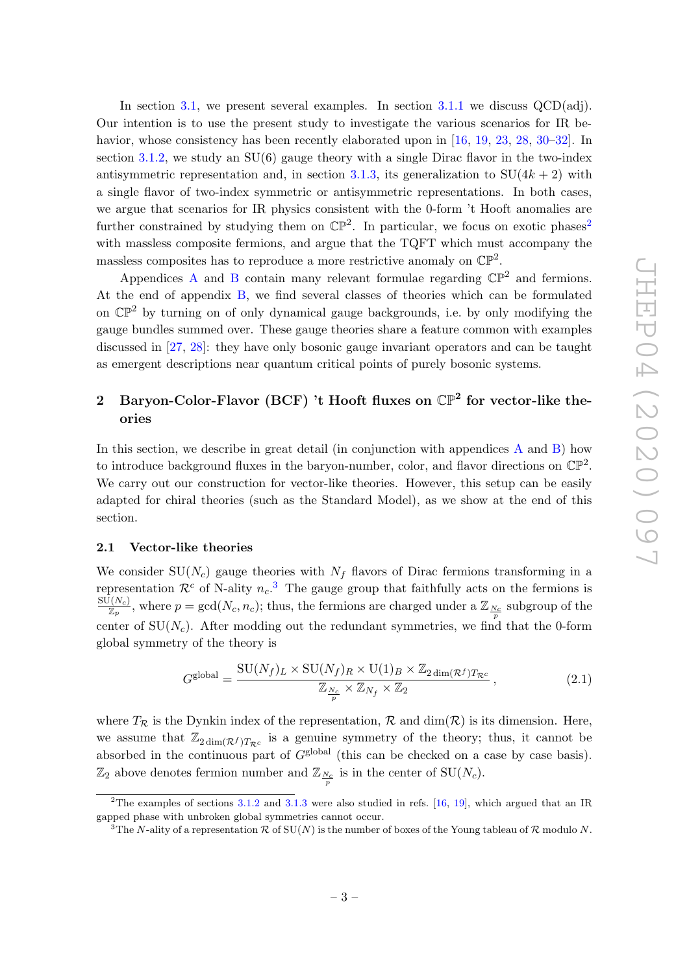In section [3.1,](#page-11-0) we present several examples. In section [3.1.1](#page-11-1) we discuss QCD(adj). Our intention is to use the present study to investigate the various scenarios for IR be-havior, whose consistency has been recently elaborated upon in [\[16,](#page-24-7) [19,](#page-24-4) [23,](#page-25-1) [28,](#page-25-7) [30–](#page-25-8)[32\]](#page-25-9). In section [3.1.2,](#page-14-0) we study an  $SU(6)$  gauge theory with a single Dirac flavor in the two-index antisymmetric representation and, in section [3.1.3,](#page-16-0) its generalization to  $SU(4k+2)$  with a single flavor of two-index symmetric or antisymmetric representations. In both cases, we argue that scenarios for IR physics consistent with the 0-form 't Hooft anomalies are further constrained by studying them on  $\mathbb{CP}^2$  $\mathbb{CP}^2$ . In particular, we focus on exotic phases<sup>2</sup> with massless composite fermions, and argue that the TQFT which must accompany the massless composites has to reproduce a more restrictive anomaly on  $\mathbb{CP}^2$ .

[A](#page-18-1)ppendices A and [B](#page-20-0) contain many relevant formulae regarding  $\mathbb{CP}^2$  and fermions. At the end of appendix [B,](#page-20-0) we find several classes of theories which can be formulated on  $\mathbb{CP}^2$  by turning on of only dynamical gauge backgrounds, i.e. by only modifying the gauge bundles summed over. These gauge theories share a feature common with examples discussed in [\[27,](#page-25-5) [28\]](#page-25-7): they have only bosonic gauge invariant operators and can be taught as emergent descriptions near quantum critical points of purely bosonic systems.

# <span id="page-4-0"></span>2 Baryon-Color-Flavor (BCF) 't Hooft fluxes on  $\mathbb{CP}^2$  for vector-like theories

In this section, we describe in great detail (in conjunction with appendices [A](#page-18-1) and [B\)](#page-20-0) how to introduce background fluxes in the baryon-number, color, and flavor directions on  $\mathbb{CP}^2$ . We carry out our construction for vector-like theories. However, this setup can be easily adapted for chiral theories (such as the Standard Model), as we show at the end of this section.

#### <span id="page-4-1"></span>2.1 Vector-like theories

We consider  $SU(N_c)$  gauge theories with  $N_f$  flavors of Dirac fermions transforming in a representation  $\mathcal{R}^c$  of N-ality  $n_c$ <sup>[3](#page-4-3)</sup>. The gauge group that faithfully acts on the fermions is  $\frac{\text{SU}(N_c)}{\mathbb{Z}_p}$ , where  $p = \gcd(N_c, n_c)$ ; thus, the fermions are charged under a  $\mathbb{Z}_{\frac{N_c}{p}}$  subgroup of the center of  $SU(N_c)$ . After modding out the redundant symmetries, we find that the 0-form global symmetry of the theory is

<span id="page-4-4"></span>
$$
G^{\text{global}} = \frac{\text{SU}(N_f)_L \times \text{SU}(N_f)_R \times \text{U}(1)_B \times \mathbb{Z}_{2 \dim(\mathcal{R}^f) T_{\mathcal{R}^c}}}{\mathbb{Z}_{\frac{N_c}{p}} \times \mathbb{Z}_{N_f} \times \mathbb{Z}_2},
$$
\n(2.1)

where  $T_{\mathcal{R}}$  is the Dynkin index of the representation,  $\mathcal{R}$  and  $\dim(\mathcal{R})$  is its dimension. Here, we assume that  $\mathbb{Z}_{2 \dim(\mathcal{R}^f) T_{\mathcal{R}^c}}$  is a genuine symmetry of the theory; thus, it cannot be absorbed in the continuous part of  $G<sup>global</sup>$  (this can be checked on a case by case basis).  $\mathbb{Z}_2$  above denotes fermion number and  $\mathbb{Z}_{\frac{N_c}{p}}$  is in the center of  $\text{SU}(N_c)$ .

<span id="page-4-2"></span><sup>&</sup>lt;sup>2</sup>The examples of sections  $3.1.2$  and  $3.1.3$  were also studied in refs. [\[16,](#page-24-7) [19\]](#page-24-4), which argued that an IR gapped phase with unbroken global symmetries cannot occur.

<span id="page-4-3"></span><sup>&</sup>lt;sup>3</sup>The N-ality of a representation R of SU(N) is the number of boxes of the Young tableau of R modulo N.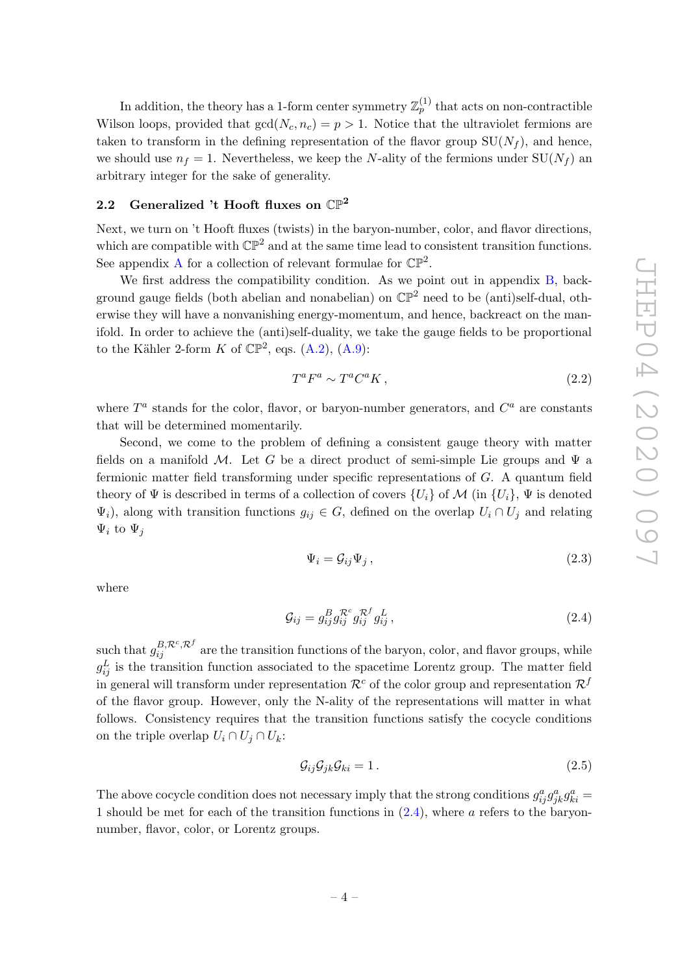In addition, the theory has a 1-form center symmetry  $\mathbb{Z}_p^{(1)}$  that acts on non-contractible Wilson loops, provided that  $gcd(N_c, n_c) = p > 1$ . Notice that the ultraviolet fermions are taken to transform in the defining representation of the flavor group  $SU(N_f)$ , and hence, we should use  $n_f = 1$ . Nevertheless, we keep the N-ality of the fermions under  $SU(N_f)$  and arbitrary integer for the sake of generality.

## <span id="page-5-0"></span>2.2 Generalized 't Hooft fluxes on  $\mathbb{CP}^2$

Next, we turn on 't Hooft fluxes (twists) in the baryon-number, color, and flavor directions, which are compatible with  $\mathbb{CP}^2$  and at the same time lead to consistent transition functions. See appendix [A](#page-18-1) for a collection of relevant formulae for  $\mathbb{CP}^2$ .

We first address the compatibility condition. As we point out in appendix [B,](#page-20-0) background gauge fields (both abelian and nonabelian) on  $\mathbb{CP}^2$  need to be (anti)self-dual, otherwise they will have a nonvanishing energy-momentum, and hence, backreact on the manifold. In order to achieve the (anti)self-duality, we take the gauge fields to be proportional to the Kähler 2-form K of  $\mathbb{CP}^2$ , eqs. [\(A.2\)](#page-19-0), [\(A.9\)](#page-20-1):

<span id="page-5-3"></span>
$$
T^a F^a \sim T^a C^a K \,, \tag{2.2}
$$

where  $T^a$  stands for the color, flavor, or baryon-number generators, and  $C^a$  are constants that will be determined momentarily.

Second, we come to the problem of defining a consistent gauge theory with matter fields on a manifold M. Let G be a direct product of semi-simple Lie groups and  $\Psi$  a fermionic matter field transforming under specific representations of G. A quantum field theory of  $\Psi$  is described in terms of a collection of covers  $\{U_i\}$  of  $\mathcal M$  (in  $\{U_i\}$ ,  $\Psi$  is denoted  $\Psi_i$ ), along with transition functions  $g_{ij} \in G$ , defined on the overlap  $U_i \cap U_j$  and relating  $\Psi_i$  to  $\Psi_j$ 

$$
\Psi_i = \mathcal{G}_{ij} \Psi_j \,,\tag{2.3}
$$

where

<span id="page-5-1"></span>
$$
\mathcal{G}_{ij} = g_{ij}^B g_{ij}^{\mathcal{R}^c} g_{ij}^{\mathcal{R}^f} g_{ij}^L, \qquad (2.4)
$$

such that  $g_{ij}^{B, \mathcal{R}^c, \mathcal{R}^f}$  are the transition functions of the baryon, color, and flavor groups, while  $g_{ij}^L$  is the transition function associated to the spacetime Lorentz group. The matter field in general will transform under representation  $\mathcal{R}^c$  of the color group and representation  $\mathcal{R}^f$ of the flavor group. However, only the N-ality of the representations will matter in what follows. Consistency requires that the transition functions satisfy the cocycle conditions on the triple overlap  $U_i \cap U_j \cap U_k$ :

<span id="page-5-2"></span>
$$
\mathcal{G}_{ij}\mathcal{G}_{jk}\mathcal{G}_{ki} = 1. \tag{2.5}
$$

The above cocycle condition does not necessary imply that the strong conditions  $g_{ij}^a g_{jk}^a g_{ki}^a =$ 1 should be met for each of the transition functions in [\(2.4\)](#page-5-1), where a refers to the baryonnumber, flavor, color, or Lorentz groups.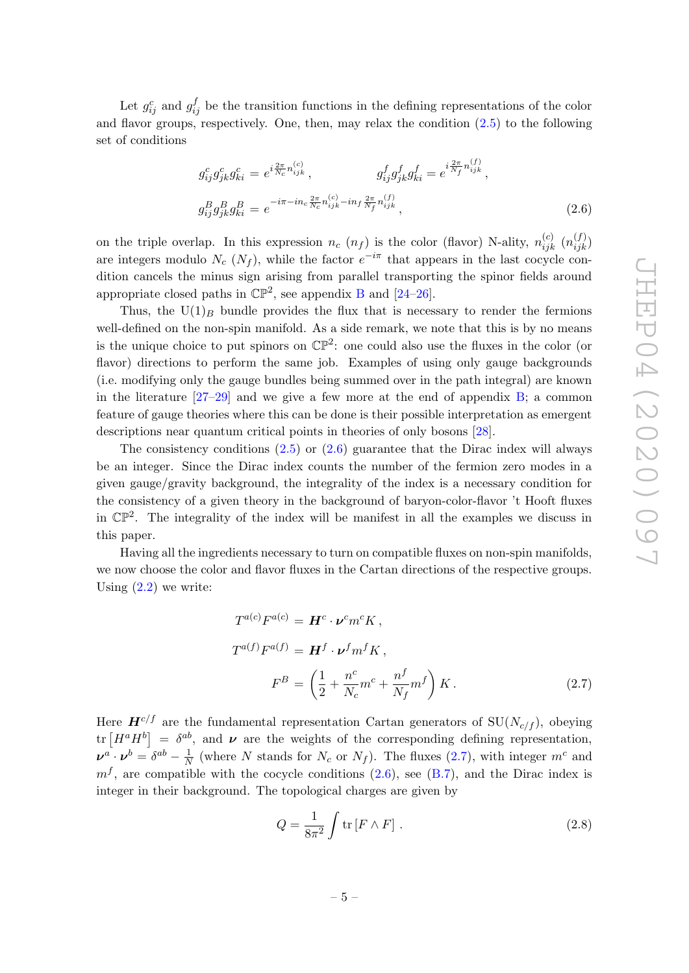Let  $g_{ij}^c$  and  $g_{ij}^f$  be the transition functions in the defining representations of the color and flavor groups, respectively. One, then, may relax the condition [\(2.5\)](#page-5-2) to the following set of conditions

<span id="page-6-0"></span>
$$
g_{ij}^{c}g_{jk}^{c}g_{ki}^{c} = e^{i\frac{2\pi}{N_c}n_{ijk}^{(c)}}, \qquad g_{ij}^{f}g_{jk}^{f}g_{ki}^{f} = e^{i\frac{2\pi}{N_f}n_{ijk}^{(f)}},
$$

$$
g_{ij}^{B}g_{jk}^{B}g_{ki}^{B} = e^{-i\pi - in_{c}\frac{2\pi}{N_c}n_{ijk}^{(c)} - in_{f}\frac{2\pi}{N_f}n_{ijk}^{(f)}},
$$
(2.6)

on the triple overlap. In this expression  $n_c$   $(n_f)$  is the color (flavor) N-ality,  $n_{ijk}^{(c)}$   $(n_{ijk}^{(f)})$ are integers modulo  $N_c$  ( $N_f$ ), while the factor  $e^{-i\pi}$  that appears in the last cocycle condition cancels the minus sign arising from parallel transporting the spinor fields around appropriate closed paths in  $\mathbb{CP}^2$ , see appendix [B](#page-20-0) and [\[24–](#page-25-2)[26\]](#page-25-4).

Thus, the  $U(1)_B$  bundle provides the flux that is necessary to render the fermions well-defined on the non-spin manifold. As a side remark, we note that this is by no means is the unique choice to put spinors on  $\mathbb{CP}^2$ : one could also use the fluxes in the color (or flavor) directions to perform the same job. Examples of using only gauge backgrounds (i.e. modifying only the gauge bundles being summed over in the path integral) are known in the literature  $[27-29]$  $[27-29]$  and we give a few more at the end of appendix [B;](#page-20-0) a common feature of gauge theories where this can be done is their possible interpretation as emergent descriptions near quantum critical points in theories of only bosons [\[28\]](#page-25-7).

The consistency conditions  $(2.5)$  or  $(2.6)$  guarantee that the Dirac index will always be an integer. Since the Dirac index counts the number of the fermion zero modes in a given gauge/gravity background, the integrality of the index is a necessary condition for the consistency of a given theory in the background of baryon-color-flavor 't Hooft fluxes in  $\mathbb{CP}^2$ . The integrality of the index will be manifest in all the examples we discuss in this paper.

Having all the ingredients necessary to turn on compatible fluxes on non-spin manifolds, we now choose the color and flavor fluxes in the Cartan directions of the respective groups. Using  $(2.2)$  we write:

<span id="page-6-1"></span>
$$
T^{a(c)}F^{a(c)} = H^c \cdot \nu^c m^c K,
$$
  
\n
$$
T^{a(f)}F^{a(f)} = H^f \cdot \nu^f m^f K,
$$
  
\n
$$
F^B = \left(\frac{1}{2} + \frac{n^c}{N_c}m^c + \frac{n^f}{N_f}m^f\right)K.
$$
\n(2.7)

Here  $\mathbf{H}^{c/f}$  are the fundamental representation Cartan generators of SU( $N_{c/f}$ ), obeying tr  $[H^a H^b] = \delta^{ab}$ , and  $\nu$  are the weights of the corresponding defining representation,  $\boldsymbol{\nu}^a\cdot\boldsymbol{\nu}^b=\delta^{ab}-\frac{1}{\Lambda}$  $\frac{1}{N}$  (where N stands for  $N_c$  or  $N_f$ ). The fluxes [\(2.7\)](#page-6-1), with integer  $m^c$  and  $m<sup>f</sup>$ , are compatible with the cocycle conditions [\(2.6\)](#page-6-0), see [\(B.7\)](#page-22-0), and the Dirac index is integer in their background. The topological charges are given by

<span id="page-6-2"></span>
$$
Q = \frac{1}{8\pi^2} \int \text{tr}\left[F \wedge F\right].\tag{2.8}
$$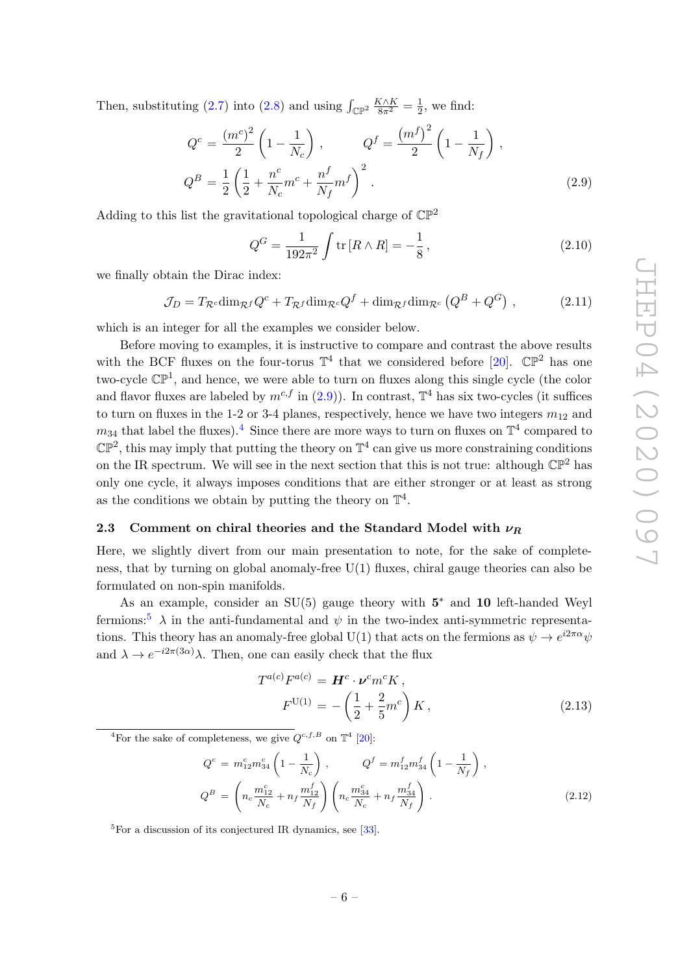Then, substituting [\(2.7\)](#page-6-1) into [\(2.8\)](#page-6-2) and using  $\int_{\mathbb{CP}^2} \frac{K \wedge K}{8\pi^2} = \frac{1}{2}$  $\frac{1}{2}$ , we find:

<span id="page-7-1"></span>
$$
Q^{c} = \frac{(m^{c})^{2}}{2} \left( 1 - \frac{1}{N_{c}} \right) , \qquad Q^{f} = \frac{(m^{f})^{2}}{2} \left( 1 - \frac{1}{N_{f}} \right) ,
$$
  
\n
$$
Q^{B} = \frac{1}{2} \left( \frac{1}{2} + \frac{n^{c}}{N_{c}} m^{c} + \frac{n^{f}}{N_{f}} m^{f} \right)^{2} .
$$
\n(2.9)

Adding to this list the gravitational topological charge of  $\mathbb{CP}^2$ 

<span id="page-7-5"></span>
$$
Q^{G} = \frac{1}{192\pi^{2}} \int \text{tr}\left[R \wedge R\right] = -\frac{1}{8},\qquad(2.10)
$$

we finally obtain the Dirac index:

<span id="page-7-4"></span>
$$
\mathcal{J}_D = T_{\mathcal{R}^c} \dim_{\mathcal{R}^f} Q^c + T_{\mathcal{R}^f} \dim_{\mathcal{R}^c} Q^f + \dim_{\mathcal{R}^f} \dim_{\mathcal{R}^c} \left( Q^B + Q^G \right) ,\tag{2.11}
$$

which is an integer for all the examples we consider below.

Before moving to examples, it is instructive to compare and contrast the above results with the BCF fluxes on the four-torus  $\mathbb{T}^4$  that we considered before [\[20\]](#page-24-5).  $\mathbb{CP}^2$  has one two-cycle  $\mathbb{CP}^1$ , and hence, we were able to turn on fluxes along this single cycle (the color and flavor fluxes are labeled by  $m^{c,f}$  in [\(2.9\)](#page-7-1)). In contrast,  $\mathbb{T}^4$  has six two-cycles (it suffices to turn on fluxes in the 1-2 or 3-4 planes, respectively, hence we have two integers  $m_{12}$  and  $m_{34}$  $m_{34}$  $m_{34}$  that label the fluxes).<sup>4</sup> Since there are more ways to turn on fluxes on  $\mathbb{T}^4$  compared to  $\mathbb{CP}^2$ , this may imply that putting the theory on  $\mathbb{T}^4$  can give us more constraining conditions on the IR spectrum. We will see in the next section that this is not true: although  $\mathbb{CP}^2$  has only one cycle, it always imposes conditions that are either stronger or at least as strong as the conditions we obtain by putting the theory on  $\mathbb{T}^4$ .

### <span id="page-7-0"></span>2.3 Comment on chiral theories and the Standard Model with  $\nu_R$

Here, we slightly divert from our main presentation to note, for the sake of completeness, that by turning on global anomaly-free U(1) fluxes, chiral gauge theories can also be formulated on non-spin manifolds.

As an example, consider an  $SU(5)$  gauge theory with  $5^*$  and 10 left-handed Weyl fermions:<sup>[5](#page-7-3)</sup>  $\lambda$  in the anti-fundamental and  $\psi$  in the two-index anti-symmetric representations. This theory has an anomaly-free global U(1) that acts on the fermions as  $\psi \to e^{i2\pi\alpha}\psi$ and  $\lambda \to e^{-i2\pi(3\alpha)}\lambda$ . Then, one can easily check that the flux

$$
T^{a(c)}F^{a(c)} = H^c \cdot \nu^c m^c K ,
$$
  
\n
$$
F^{U(1)} = -\left(\frac{1}{2} + \frac{2}{5}m^c\right) K ,
$$
\n(2.13)

<span id="page-7-2"></span><sup>4</sup>For the sake of completeness, we give  $Q^{c,f,B}$  on  $\mathbb{T}^4$  [\[20\]](#page-24-5):

$$
Q^{c} = m_{12}^{c} m_{34}^{c} \left( 1 - \frac{1}{N_c} \right) , \qquad Q^{f} = m_{12}^{f} m_{34}^{f} \left( 1 - \frac{1}{N_f} \right) ,
$$
  
\n
$$
Q^{B} = \left( n_c \frac{m_{12}^{c}}{N_c} + n_f \frac{m_{12}^{f}}{N_f} \right) \left( n_c \frac{m_{34}^{c}}{N_c} + n_f \frac{m_{34}^{f}}{N_f} \right) .
$$
\n(2.12)

<span id="page-7-3"></span> ${}^{5}$ For a discussion of its conjectured IR dynamics, see [\[33\]](#page-25-10).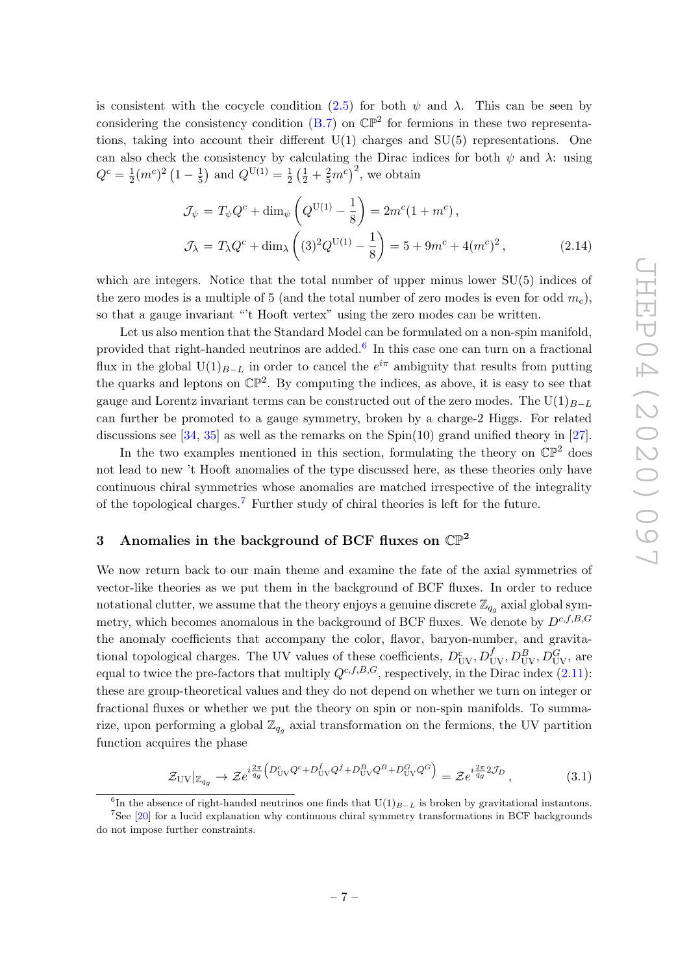is consistent with the cocycle condition [\(2.5\)](#page-5-2) for both  $\psi$  and  $\lambda$ . This can be seen by considering the consistency condition  $(B.7)$  on  $\mathbb{CP}^2$  for fermions in these two representations, taking into account their different  $U(1)$  charges and  $SU(5)$  representations. One can also check the consistency by calculating the Dirac indices for both  $\psi$  and  $\lambda$ : using  $Q^c = \frac{1}{2}$  $\frac{1}{2}(m^c)^2\left(1-\frac{1}{5}\right)$  $(\frac{1}{5})$  and  $Q^{\text{U}(1)} = \frac{1}{2}$  $\frac{1}{2} \left(\frac{1}{2} + \frac{2}{5} m^c\right)^2$ , we obtain

$$
\mathcal{J}_{\psi} = T_{\psi} Q^{c} + \dim_{\psi} \left( Q^{U(1)} - \frac{1}{8} \right) = 2m^{c} (1 + m^{c}),
$$
  

$$
\mathcal{J}_{\lambda} = T_{\lambda} Q^{c} + \dim_{\lambda} \left( (3)^{2} Q^{U(1)} - \frac{1}{8} \right) = 5 + 9m^{c} + 4(m^{c})^{2},
$$
(2.14)

which are integers. Notice that the total number of upper minus lower  $SU(5)$  indices of the zero modes is a multiple of 5 (and the total number of zero modes is even for odd  $m_c$ ), so that a gauge invariant "'t Hooft vertex" using the zero modes can be written.

Let us also mention that the Standard Model can be formulated on a non-spin manifold, provided that right-handed neutrinos are added.<sup>[6](#page-8-1)</sup> In this case one can turn on a fractional flux in the global U(1)<sub>B−L</sub> in order to cancel the  $e^{i\pi}$  ambiguity that results from putting the quarks and leptons on  $\mathbb{CP}^2$ . By computing the indices, as above, it is easy to see that gauge and Lorentz invariant terms can be constructed out of the zero modes. The U(1) $_{B-L}$ can further be promoted to a gauge symmetry, broken by a charge-2 Higgs. For related discussions see  $[34, 35]$  $[34, 35]$  $[34, 35]$  as well as the remarks on the  $Spin(10)$  grand unified theory in  $[27]$ .

In the two examples mentioned in this section, formulating the theory on  $\mathbb{CP}^2$  does not lead to new 't Hooft anomalies of the type discussed here, as these theories only have continuous chiral symmetries whose anomalies are matched irrespective of the integrality of the topological charges.<sup>[7](#page-8-2)</sup> Further study of chiral theories is left for the future.

### <span id="page-8-0"></span>3 Anomalies in the background of BCF fluxes on  $\mathbb{CP}^2$

We now return back to our main theme and examine the fate of the axial symmetries of vector-like theories as we put them in the background of BCF fluxes. In order to reduce notational clutter, we assume that the theory enjoys a genuine discrete  $\mathbb{Z}_{q_g}$  axial global symmetry, which becomes anomalous in the background of BCF fluxes. We denote by  $D^{c,f,B,G}$ the anomaly coefficients that accompany the color, flavor, baryon-number, and gravitational topological charges. The UV values of these coefficients,  $D_{UV}^c, D_{UV}^f, D_{UV}^B, D_{UV}^G$ , are equal to twice the pre-factors that multiply  $Q^{c,f,B,G}$ , respectively, in the Dirac index [\(2.11\)](#page-7-4): these are group-theoretical values and they do not depend on whether we turn on integer or fractional fluxes or whether we put the theory on spin or non-spin manifolds. To summarize, upon performing a global  $\mathbb{Z}_{q_g}$  axial transformation on the fermions, the UV partition function acquires the phase

<span id="page-8-3"></span>
$$
\mathcal{Z}_{\rm UV}|_{\mathbb{Z}_{q_g}} \to \mathcal{Z}e^{i\frac{2\pi}{q_g}\left(D_{\rm UV}^c Q^c + D_{\rm UV}^f Q^f + D_{\rm UV}^B Q^B + D_{\rm UV}^G Q^G\right)} = \mathcal{Z}e^{i\frac{2\pi}{q_g}2\mathcal{J}_D},\tag{3.1}
$$

<span id="page-8-2"></span><span id="page-8-1"></span><sup>&</sup>lt;sup>6</sup>In the absence of right-handed neutrinos one finds that  $U(1)_{B-L}$  is broken by gravitational instantons.

<sup>&</sup>lt;sup>7</sup>See [\[20\]](#page-24-5) for a lucid explanation why continuous chiral symmetry transformations in BCF backgrounds do not impose further constraints.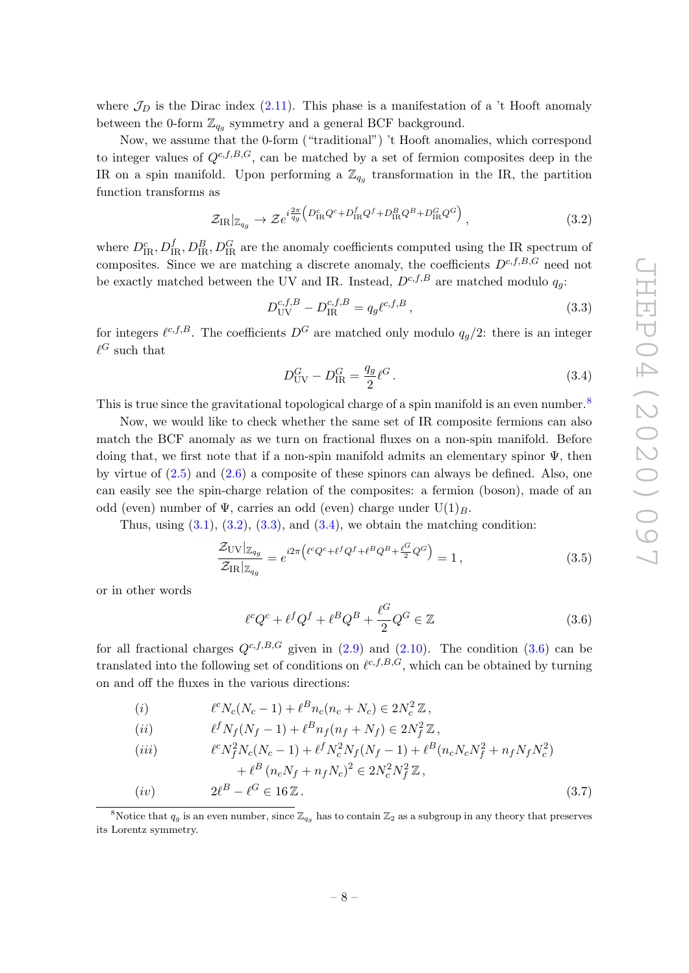where  $\mathcal{J}_D$  is the Dirac index [\(2.11\)](#page-7-4). This phase is a manifestation of a 't Hooft anomaly between the 0-form  $\mathbb{Z}_{q_g}$  symmetry and a general BCF background.

Now, we assume that the 0-form ("traditional") 't Hooft anomalies, which correspond to integer values of  $Q^{c,f,B,G}$ , can be matched by a set of fermion composites deep in the IR on a spin manifold. Upon performing a  $\mathbb{Z}_{q_g}$  transformation in the IR, the partition function transforms as

<span id="page-9-1"></span>
$$
\mathcal{Z}_{\text{IR}}|_{\mathbb{Z}_{q_g}} \to \mathcal{Z}e^{i\frac{2\pi}{q_g}\left(D_{\text{IR}}^c Q^c + D_{\text{IR}}^f Q^f + D_{\text{IR}}^B Q^B + D_{\text{IR}}^G Q^G\right)},\tag{3.2}
$$

where  $D_{\text{IR}}^c, D_{\text{IR}}^f, D_{\text{IR}}^B, D_{\text{IR}}^G$  are the anomaly coefficients computed using the IR spectrum of composites. Since we are matching a discrete anomaly, the coefficients  $D^{c,f,B,G}$  need not be exactly matched between the UV and IR. Instead,  $D^{c,f,B}$  are matched modulo  $q_a$ .

<span id="page-9-2"></span>
$$
D_{\rm UV}^{c,f,B} - D_{\rm IR}^{c,f,B} = q_g \ell^{c,f,B} \,, \tag{3.3}
$$

for integers  $\ell^{c,f,B}$ . The coefficients  $D^G$  are matched only modulo  $q_g/2$ : there is an integer  $\ell^G$  such that

<span id="page-9-3"></span>
$$
D_{\rm UV}^G - D_{\rm IR}^G = \frac{q_g}{2} \ell^G. \tag{3.4}
$$

This is true since the gravitational topological charge of a spin manifold is an even number.<sup>[8](#page-9-0)</sup>

Now, we would like to check whether the same set of IR composite fermions can also match the BCF anomaly as we turn on fractional fluxes on a non-spin manifold. Before doing that, we first note that if a non-spin manifold admits an elementary spinor  $\Psi$ , then by virtue of  $(2.5)$  and  $(2.6)$  a composite of these spinors can always be defined. Also, one can easily see the spin-charge relation of the composites: a fermion (boson), made of an odd (even) number of  $\Psi$ , carries an odd (even) charge under  $U(1)_B$ .

Thus, using  $(3.1)$ ,  $(3.2)$ ,  $(3.3)$ , and  $(3.4)$ , we obtain the matching condition:

$$
\frac{\mathcal{Z}_{\text{UV}}|_{\mathbb{Z}_{q_g}}}{\mathcal{Z}_{\text{IR}}|_{\mathbb{Z}_{q_g}}} = e^{i2\pi \left(\ell^c Q^c + \ell^f Q^f + \ell^B Q^B + \frac{\ell^G}{2} Q^G\right)} = 1,
$$
\n(3.5)

or in other words

<span id="page-9-5"></span><span id="page-9-4"></span>
$$
\ell^c Q^c + \ell^f Q^f + \ell^B Q^B + \frac{\ell^G}{2} Q^G \in \mathbb{Z}
$$
\n(3.6)

for all fractional charges  $Q^{c,f,B,G}$  given in [\(2.9\)](#page-7-1) and [\(2.10\)](#page-7-5). The condition [\(3.6\)](#page-9-4) can be translated into the following set of conditions on  $\ell^{c,f,B,G}$ , which can be obtained by turning on and off the fluxes in the various directions:

(i) 
$$
\ell^{c} N_c (N_c - 1) + \ell^{B} n_c (n_c + N_c) \in 2N_c^2 \mathbb{Z},
$$

$$
(ii) \qquad \ell^f N_f (N_f - 1) + \ell^B n_f (n_f + N_f) \in 2N_f^2 \mathbb{Z},
$$

$$
(iii) \qquad \ell^{c} N_{f}^{2} N_{c} (N_{c} - 1) + \ell^{f} N_{c}^{2} N_{f} (N_{f} - 1) + \ell^{B} (n_{c} N_{c} N_{f}^{2} + n_{f} N_{f} N_{c}^{2}) + \ell^{B} (n_{c} N_{f} + n_{f} N_{c})^{2} \in 2N_{c}^{2} N_{f}^{2} \mathbb{Z},
$$
  
\n
$$
(iv) \qquad 2\ell^{B} - \ell^{G} \in 16 \mathbb{Z}. \qquad (3.7)
$$

<span id="page-9-0"></span><sup>8</sup>Notice that  $q_q$  is an even number, since  $\mathbb{Z}_{q_q}$  has to contain  $\mathbb{Z}_2$  as a subgroup in any theory that preserves its Lorentz symmetry.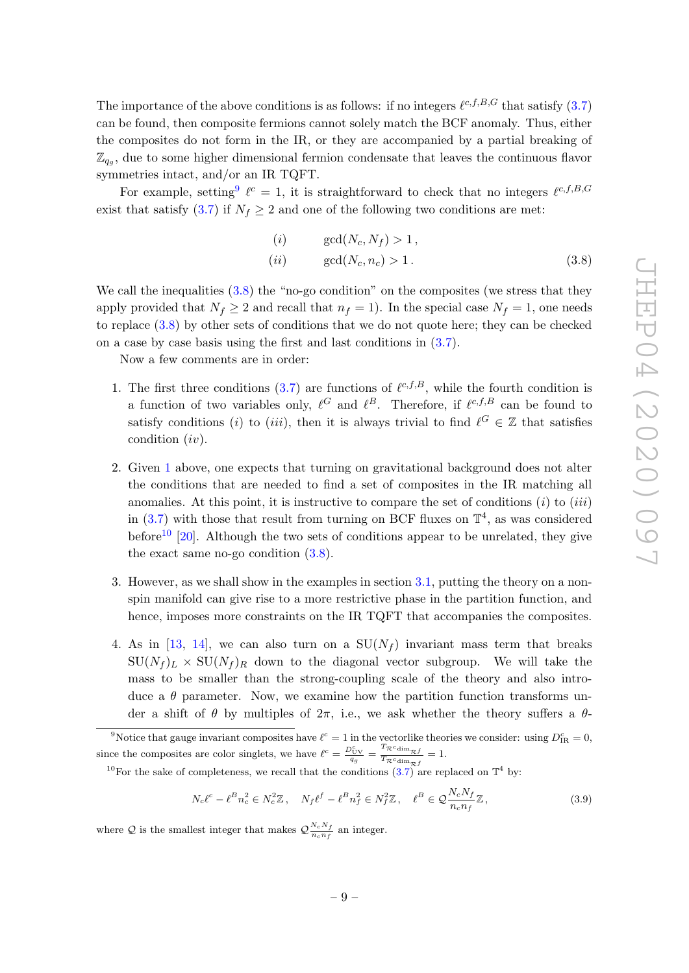The importance of the above conditions is as follows: if no integers  $\ell^{c,f,B,G}$  that satisfy  $(3.7)$ can be found, then composite fermions cannot solely match the BCF anomaly. Thus, either the composites do not form in the IR, or they are accompanied by a partial breaking of  $\mathbb{Z}_{q_g}$ , due to some higher dimensional fermion condensate that leaves the continuous flavor symmetries intact, and/or an IR TQFT.

For example, setting  $\ell^c = 1$ , it is straightforward to check that no integers  $\ell^{c,f,B,G}$ exist that satisfy [\(3.7\)](#page-9-5) if  $N_f \geq 2$  and one of the following two conditions are met:

<span id="page-10-1"></span>
$$
(i) \quad \gcd(N_c, N_f) > 1,
$$
  
\n
$$
(ii) \quad \gcd(N_c, n_c) > 1.
$$
\n
$$
(3.8)
$$

We call the inequalities  $(3.8)$  the "no-go condition" on the composites (we stress that they apply provided that  $N_f \geq 2$  and recall that  $n_f = 1$ . In the special case  $N_f = 1$ , one needs to replace [\(3.8\)](#page-10-1) by other sets of conditions that we do not quote here; they can be checked on a case by case basis using the first and last conditions in [\(3.7\)](#page-9-5).

Now a few comments are in order:

- <span id="page-10-2"></span>1. The first three conditions [\(3.7\)](#page-9-5) are functions of  $\ell^{c,f,B}$ , while the fourth condition is a function of two variables only,  $\ell^G$  and  $\ell^B$ . Therefore, if  $\ell^{c,f,B}$  can be found to satisfy conditions (i) to (iii), then it is always trivial to find  $\ell^G \in \mathbb{Z}$  that satisfies condition (iv).
- 2. Given [1](#page-10-2) above, one expects that turning on gravitational background does not alter the conditions that are needed to find a set of composites in the IR matching all anomalies. At this point, it is instructive to compare the set of conditions  $(i)$  to  $(iii)$ in  $(3.7)$  with those that result from turning on BCF fluxes on  $\mathbb{T}^4$ , as was considered before<sup>[10](#page-10-3)</sup> [\[20\]](#page-24-5). Although the two sets of conditions appear to be unrelated, they give the exact same no-go condition [\(3.8\)](#page-10-1).
- 3. However, as we shall show in the examples in section [3.1,](#page-11-0) putting the theory on a nonspin manifold can give rise to a more restrictive phase in the partition function, and hence, imposes more constraints on the IR TQFT that accompanies the composites.
- 4. As in [\[13,](#page-24-8) [14\]](#page-24-9), we can also turn on a  $SU(N_f)$  invariant mass term that breaks  $\text{SU}(N_f)_L \times \text{SU}(N_f)_R$  down to the diagonal vector subgroup. We will take the mass to be smaller than the strong-coupling scale of the theory and also introduce a  $\theta$  parameter. Now, we examine how the partition function transforms under a shift of  $\theta$  by multiples of  $2\pi$ , i.e., we ask whether the theory suffers a  $\theta$ -

<span id="page-10-0"></span><sup>9</sup>Notice that gauge invariant composites have  $\ell^c = 1$  in the vectorlike theories we consider: using  $D_{IR}^c = 0$ , since the composites are color singlets, we have  $\ell^c = \frac{D_{\text{UV}}^c}{q_g} = \frac{T_{\mathcal{R}^c \text{dim}_{\mathcal{R}} f}}{T_{\mathcal{R}^c \text{dim}_{\mathcal{R}} f}}$  $\frac{\pi \operatorname{dim}_{\mathcal{R}} f}{T_{\mathcal{R}} c_{\dim_{\mathcal{R}} f}} = 1.$ 

<span id="page-10-3"></span><sup>10</sup>For the sake of completeness, we recall that the conditions  $(3.7)$  are replaced on  $\mathbb{T}^4$  by:

$$
N_c \ell^c - \ell^B n_c^2 \in N_c^2 \mathbb{Z}, \quad N_f \ell^f - \ell^B n_f^2 \in N_f^2 \mathbb{Z}, \quad \ell^B \in \mathcal{Q} \frac{N_c N_f}{n_c n_f} \mathbb{Z}, \tag{3.9}
$$

where Q is the smallest integer that makes  $\mathcal{Q}_{n}^{N_cN_f}$  $\frac{n_c n_f}{n_c n_f}$  an integer.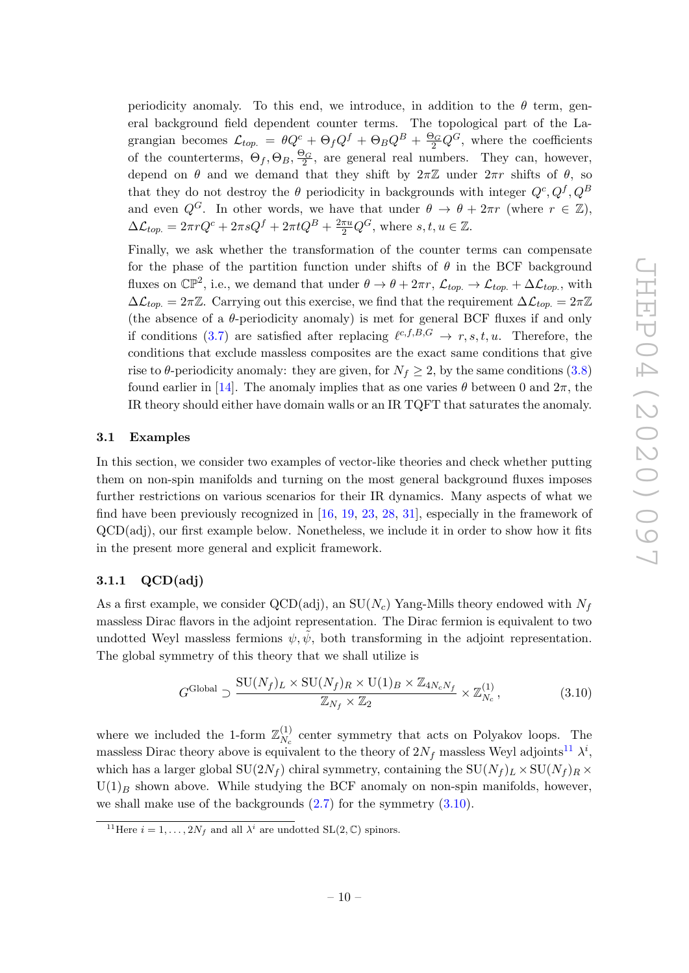periodicity anomaly. To this end, we introduce, in addition to the  $\theta$  term, general background field dependent counter terms. The topological part of the Lagrangian becomes  $\mathcal{L}_{top.} = \theta Q^c + \Theta_f Q^f + \Theta_B Q^B + \frac{\Theta_G}{2} Q^G$ , where the coefficients of the counterterms,  $\Theta_f$ ,  $\Theta_B$ ,  $\frac{\Theta_G}{2}$ , are general real numbers. They can, however, depend on  $\theta$  and we demand that they shift by  $2\pi\mathbb{Z}$  under  $2\pi r$  shifts of  $\theta$ , so that they do not destroy the  $\theta$  periodicity in backgrounds with integer  $Q^c, Q^f, Q^B$ and even  $Q^G$ . In other words, we have that under  $\theta \to \theta + 2\pi r$  (where  $r \in \mathbb{Z}$ ),  $\Delta \mathcal{L}_{top.} = 2\pi r Q^c + 2\pi s Q^f + 2\pi t Q^B + \frac{2\pi u}{2} Q^G$ , where  $s, t, u \in \mathbb{Z}$ .

Finally, we ask whether the transformation of the counter terms can compensate for the phase of the partition function under shifts of  $\theta$  in the BCF background fluxes on  $\mathbb{CP}^2$ , i.e., we demand that under  $\theta \to \theta + 2\pi r$ ,  $\mathcal{L}_{top.} \to \mathcal{L}_{top.} + \Delta \mathcal{L}_{top.}$ , with  $\Delta\mathcal{L}_{top.} = 2\pi\mathbb{Z}$ . Carrying out this exercise, we find that the requirement  $\Delta\mathcal{L}_{top.} = 2\pi\mathbb{Z}$ (the absence of a  $\theta$ -periodicity anomaly) is met for general BCF fluxes if and only if conditions [\(3.7\)](#page-9-5) are satisfied after replacing  $\ell^{c,f,B,G} \to r, s, t, u$ . Therefore, the conditions that exclude massless composites are the exact same conditions that give rise to  $\theta$ -periodicity anomaly: they are given, for  $N_f \geq 2$ , by the same conditions [\(3.8\)](#page-10-1) found earlier in [\[14\]](#page-24-9). The anomaly implies that as one varies  $\theta$  between 0 and  $2\pi$ , the IR theory should either have domain walls or an IR TQFT that saturates the anomaly.

#### <span id="page-11-0"></span>3.1 Examples

In this section, we consider two examples of vector-like theories and check whether putting them on non-spin manifolds and turning on the most general background fluxes imposes further restrictions on various scenarios for their IR dynamics. Many aspects of what we find have been previously recognized in [\[16,](#page-24-7) [19,](#page-24-4) [23,](#page-25-1) [28,](#page-25-7) [31\]](#page-25-13), especially in the framework of QCD(adj), our first example below. Nonetheless, we include it in order to show how it fits in the present more general and explicit framework.

### <span id="page-11-1"></span>3.1.1 QCD(adj)

As a first example, we consider QCD(adj), an  $SU(N_c)$  Yang-Mills theory endowed with  $N_f$ massless Dirac flavors in the adjoint representation. The Dirac fermion is equivalent to two undotted Weyl massless fermions  $\psi, \psi$ , both transforming in the adjoint representation. The global symmetry of this theory that we shall utilize is

<span id="page-11-3"></span>
$$
G^{\text{Global}} \supset \frac{\text{SU}(N_f)_L \times \text{SU}(N_f)_R \times \text{U}(1)_B \times \mathbb{Z}_{4N_c N_f}}{\mathbb{Z}_{N_f} \times \mathbb{Z}_2} \times \mathbb{Z}_{N_c}^{(1)},
$$
(3.10)

where we included the 1-form  $\mathbb{Z}_N^{(1)}$  $N_c$ <sup>(1)</sup> center symmetry that acts on Polyakov loops. The massless Dirac theory above is equivalent to the theory of  $2N_f$  massless Weyl adjoints<sup>[11](#page-11-2)</sup>  $\lambda^i$ , which has a larger global  $SU(2N_f)$  chiral symmetry, containing the  $SU(N_f)_L \times SU(N_f)_R \times$  $U(1)_B$  shown above. While studying the BCF anomaly on non-spin manifolds, however, we shall make use of the backgrounds  $(2.7)$  for the symmetry  $(3.10)$ .

<span id="page-11-2"></span><sup>&</sup>lt;sup>11</sup>Here  $i = 1, ..., 2N_f$  and all  $\lambda^i$  are undotted SL(2, C) spinors.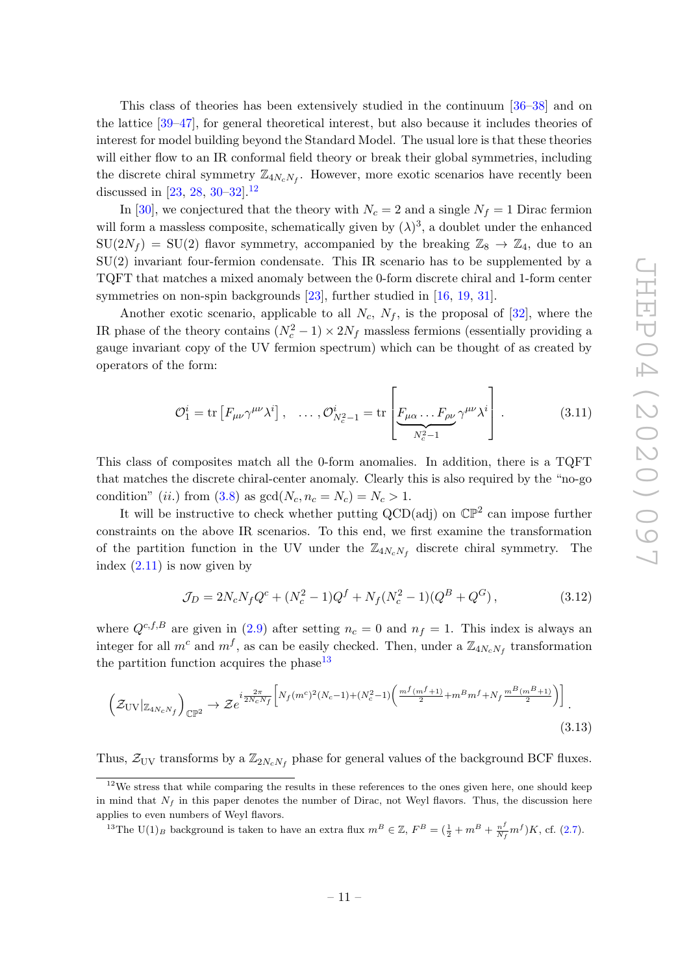This class of theories has been extensively studied in the continuum [\[36–](#page-25-14)[38\]](#page-25-15) and on the lattice [\[39–](#page-25-16)[47\]](#page-26-0), for general theoretical interest, but also because it includes theories of interest for model building beyond the Standard Model. The usual lore is that these theories will either flow to an IR conformal field theory or break their global symmetries, including the discrete chiral symmetry  $\mathbb{Z}_{4N_cN_f}$ . However, more exotic scenarios have recently been discussed in [\[23,](#page-25-1) [28,](#page-25-7) [30–](#page-25-8)[32\]](#page-25-9).<sup>[12](#page-12-0)</sup>

In [\[30\]](#page-25-8), we conjectured that the theory with  $N_c = 2$  and a single  $N_f = 1$  Dirac fermion will form a massless composite, schematically given by  $(\lambda)^3$ , a doublet under the enhanced  $SU(2N_f) = SU(2)$  flavor symmetry, accompanied by the breaking  $\mathbb{Z}_8 \to \mathbb{Z}_4$ , due to an SU(2) invariant four-fermion condensate. This IR scenario has to be supplemented by a TQFT that matches a mixed anomaly between the 0-form discrete chiral and 1-form center symmetries on non-spin backgrounds [\[23\]](#page-25-1), further studied in [\[16,](#page-24-7) [19,](#page-24-4) [31\]](#page-25-13).

Another exotic scenario, applicable to all  $N_c$ ,  $N_f$ , is the proposal of [\[32\]](#page-25-9), where the IR phase of the theory contains  $(N_c^2 - 1) \times 2N_f$  massless fermions (essentially providing a gauge invariant copy of the UV fermion spectrum) which can be thought of as created by operators of the form:

<span id="page-12-3"></span>
$$
\mathcal{O}_1^i = \text{tr}\left[F_{\mu\nu}\gamma^{\mu\nu}\lambda^i\right], \quad \dots, \mathcal{O}_{N_c^2-1}^i = \text{tr}\left[\underbrace{F_{\mu\alpha}\dots F_{\rho\nu}}_{N_c^2-1}\gamma^{\mu\nu}\lambda^i\right].
$$
 (3.11)

This class of composites match all the 0-form anomalies. In addition, there is a TQFT that matches the discrete chiral-center anomaly. Clearly this is also required by the "no-go condition" (ii.) from [\(3.8\)](#page-10-1) as  $gcd(N_c, n_c = N_c) = N_c > 1$ .

It will be instructive to check whether putting  $QCD(\text{adj})$  on  $\mathbb{CP}^2$  can impose further constraints on the above IR scenarios. To this end, we first examine the transformation of the partition function in the UV under the  $\mathbb{Z}_{4N_cN_f}$  discrete chiral symmetry. The index  $(2.11)$  is now given by

$$
\mathcal{J}_D = 2N_cN_fQ^c + (N_c^2 - 1)Q^f + N_f(N_c^2 - 1)(Q^B + Q^G),\tag{3.12}
$$

where  $Q^{c,f,B}$  are given in [\(2.9\)](#page-7-1) after setting  $n_c = 0$  and  $n_f = 1$ . This index is always an integer for all  $m^c$  and  $m^f$ , as can be easily checked. Then, under a  $\mathbb{Z}_{4N_cN_f}$  transformation the partition function acquires the phase  $13$ 

<span id="page-12-2"></span>
$$
\left(\mathcal{Z}_{\rm UV}|_{\mathbb{Z}_{4N_cN_f}}\right)_{\mathbb{CP}^2} \to \mathcal{Z}e^{i\frac{2\pi}{2N_cN_f}\left[N_f(m^c)^2(N_c-1)+(N_c^2-1)\left(\frac{m^f(m^f+1)}{2}+m^Bm^f+N_f\frac{m^B(m^B+1)}{2}\right)\right]}.
$$
\n(3.13)

Thus,  $\mathcal{Z}_{UV}$  transforms by a  $\mathbb{Z}_{2N_cN_f}$  phase for general values of the background BCF fluxes.

<span id="page-12-0"></span> $12$ We stress that while comparing the results in these references to the ones given here, one should keep in mind that  $N_f$  in this paper denotes the number of Dirac, not Weyl flavors. Thus, the discussion here applies to even numbers of Weyl flavors.

<span id="page-12-1"></span><sup>&</sup>lt;sup>13</sup>The U(1)<sub>B</sub> background is taken to have an extra flux  $m^B \in \mathbb{Z}$ ,  $F^B = (\frac{1}{2} + m^B + \frac{n^f}{N_f})$  $\frac{n^f}{N_f}m^f$  )K, cf. [\(2.7\)](#page-6-1).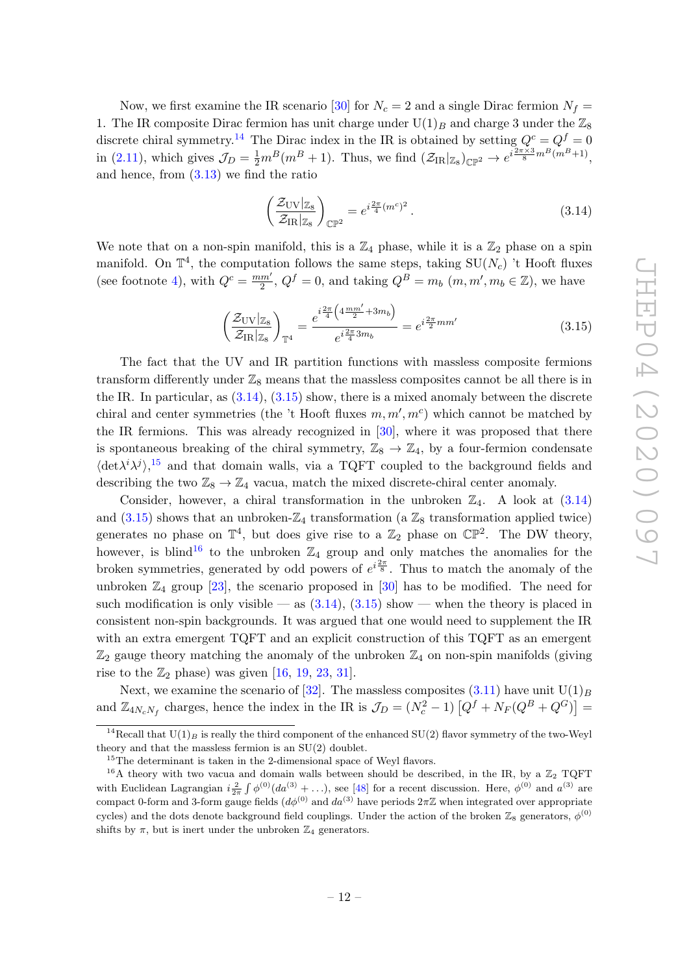Now, we first examine the IR scenario [\[30\]](#page-25-8) for  $N_c = 2$  and a single Dirac fermion  $N_f =$ 1. The IR composite Dirac fermion has unit charge under  $U(1)_B$  and charge 3 under the  $\mathbb{Z}_8$ discrete chiral symmetry.<sup>[14](#page-13-0)</sup> The Dirac index in the IR is obtained by setting  $Q^c = Q^f = 0$ in [\(2.11\)](#page-7-4), which gives  $\mathcal{J}_D = \frac{1}{2} m^B (m^B + 1)$ . Thus, we find  $(\mathcal{Z}_{IR}|_{\mathbb{Z}_8})_{\mathbb{CP}^2} \to e^{i \frac{2\pi \times 3}{8} m^B (m^B + 1)}$ , and hence, from [\(3.13\)](#page-12-2) we find the ratio

<span id="page-13-1"></span>
$$
\left(\frac{\mathcal{Z}_{\rm UV}|_{\mathbb{Z}_8}}{\mathcal{Z}_{\rm IR}|_{\mathbb{Z}_8}}\right)_{\mathbb{CP}^2} = e^{i\frac{2\pi}{4}(m^c)^2}.
$$
\n(3.14)

We note that on a non-spin manifold, this is a  $\mathbb{Z}_4$  phase, while it is a  $\mathbb{Z}_2$  phase on a spin manifold. On  $\mathbb{T}^4$ , the computation follows the same steps, taking  $\text{SU}(N_c)$  't Hooft fluxes (see footnote [4\)](#page-7-2), with  $Q^c = \frac{mm'}{2}$  $\frac{2m'}{2}$ ,  $Q^f = 0$ , and taking  $Q^B = m_b$   $(m, m', m_b \in \mathbb{Z})$ , we have

<span id="page-13-2"></span>
$$
\left(\frac{\mathcal{Z}_{\rm UV}|_{\mathbb{Z}_8}}{\mathcal{Z}_{\rm IR}|_{\mathbb{Z}_8}}\right)_{\mathbb{T}^4} = \frac{e^{i\frac{2\pi}{4}\left(4\frac{mm'}{2} + 3m_b\right)}}{e^{i\frac{2\pi}{4}3m_b}} = e^{i\frac{2\pi}{2}mm'}
$$
\n(3.15)

The fact that the UV and IR partition functions with massless composite fermions transform differently under  $\mathbb{Z}_8$  means that the massless composites cannot be all there is in the IR. In particular, as  $(3.14)$ ,  $(3.15)$  show, there is a mixed anomaly between the discrete chiral and center symmetries (the 't Hooft fluxes  $m, m', m'$ ) which cannot be matched by the IR fermions. This was already recognized in [\[30\]](#page-25-8), where it was proposed that there is spontaneous breaking of the chiral symmetry,  $\mathbb{Z}_8 \to \mathbb{Z}_4$ , by a four-fermion condensate  $\langle det \lambda^i \lambda^j \rangle$ , <sup>[15](#page-13-3)</sup> and that domain walls, via a TQFT coupled to the background fields and describing the two  $\mathbb{Z}_8 \to \mathbb{Z}_4$  vacua, match the mixed discrete-chiral center anomaly.

Consider, however, a chiral transformation in the unbroken  $\mathbb{Z}_4$ . A look at  $(3.14)$ and  $(3.15)$  shows that an unbroken- $\mathbb{Z}_4$  transformation (a  $\mathbb{Z}_8$  transformation applied twice) generates no phase on  $\mathbb{T}^4$ , but does give rise to a  $\mathbb{Z}_2$  phase on  $\mathbb{CP}^2$ . The DW theory, however, is blind<sup>[16](#page-13-4)</sup> to the unbroken  $\mathbb{Z}_4$  group and only matches the anomalies for the broken symmetries, generated by odd powers of  $e^{i\frac{2\pi}{8}}$ . Thus to match the anomaly of the unbroken  $\mathbb{Z}_4$  group [\[23\]](#page-25-1), the scenario proposed in [\[30\]](#page-25-8) has to be modified. The need for such modification is only visible — as  $(3.14)$ ,  $(3.15)$  show — when the theory is placed in consistent non-spin backgrounds. It was argued that one would need to supplement the IR with an extra emergent TQFT and an explicit construction of this TQFT as an emergent  $\mathbb{Z}_2$  gauge theory matching the anomaly of the unbroken  $\mathbb{Z}_4$  on non-spin manifolds (giving rise to the  $\mathbb{Z}_2$  phase) was given [\[16,](#page-24-7) [19,](#page-24-4) [23,](#page-25-1) [31\]](#page-25-13).

Next, we examine the scenario of [\[32\]](#page-25-9). The massless composites  $(3.11)$  have unit  $U(1)_B$ and  $\mathbb{Z}_{4N_cN_f}$  charges, hence the index in the IR is  $\mathcal{J}_D = (N_c^2 - 1) [Q^f + N_F(Q^B + Q^G)] =$ 

<span id="page-13-0"></span><sup>&</sup>lt;sup>14</sup>Recall that  $U(1)_B$  is really the third component of the enhanced SU(2) flavor symmetry of the two-Weyl theory and that the massless fermion is an SU(2) doublet.

<span id="page-13-4"></span><span id="page-13-3"></span> $15$ The determinant is taken in the 2-dimensional space of Weyl flavors.

<sup>&</sup>lt;sup>16</sup>A theory with two vacua and domain walls between should be described, in the IR, by a  $\mathbb{Z}_2$  TQFT with Euclidean Lagrangian  $i\frac{2}{2\pi}\int \phi^{(0)}(da^{(3)} + \ldots)$ , see [\[48\]](#page-26-1) for a recent discussion. Here,  $\phi^{(0)}$  and  $a^{(3)}$  are compact 0-form and 3-form gauge fields  $(d\phi^{(0)}$  and  $da^{(3)}$  have periods  $2\pi\mathbb{Z}$  when integrated over appropriate cycles) and the dots denote background field couplings. Under the action of the broken  $\mathbb{Z}_8$  generators,  $\phi^{(0)}$ shifts by  $\pi$ , but is inert under the unbroken  $\mathbb{Z}_4$  generators.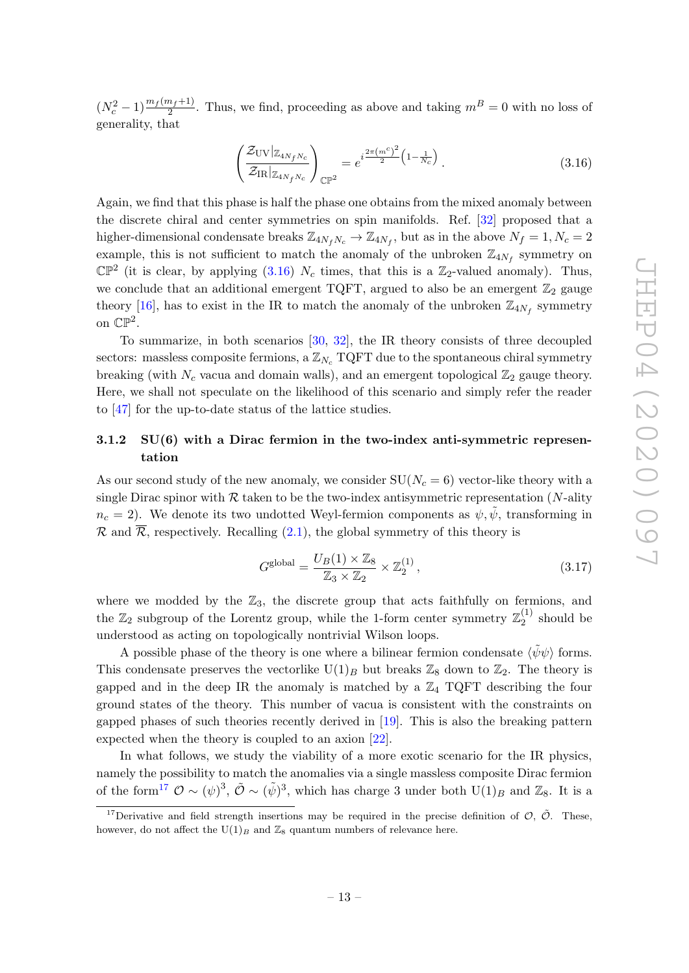$(N_c^2-1)\frac{m_f(m_f+1)}{2}$ . Thus, we find, proceeding as above and taking  $m^B=0$  with no loss of generality, that

<span id="page-14-1"></span>
$$
\left(\frac{\mathcal{Z}_{\text{UV}}|_{\mathbb{Z}_{4N_fN_c}}}{\mathcal{Z}_{\text{IR}}|_{\mathbb{Z}_{4N_fN_c}}}\right)_{\mathbb{CP}^2} = e^{i\frac{2\pi (m^c)^2}{2} \left(1 - \frac{1}{N_c}\right)}.
$$
\n(3.16)

Again, we find that this phase is half the phase one obtains from the mixed anomaly between the discrete chiral and center symmetries on spin manifolds. Ref. [\[32\]](#page-25-9) proposed that a higher-dimensional condensate breaks  $\mathbb{Z}_{4N_fN_c} \to \mathbb{Z}_{4N_f}$ , but as in the above  $N_f = 1, N_c = 2$ example, this is not sufficient to match the anomaly of the unbroken  $\mathbb{Z}_{4N_f}$  symmetry on  $\mathbb{CP}^2$  (it is clear, by applying [\(3.16\)](#page-14-1)  $N_c$  times, that this is a  $\mathbb{Z}_2$ -valued anomaly). Thus, we conclude that an additional emergent TQFT, argued to also be an emergent  $\mathbb{Z}_2$  gauge theory [\[16\]](#page-24-7), has to exist in the IR to match the anomaly of the unbroken  $\mathbb{Z}_{4N_f}$  symmetry on  $\mathbb{CP}^2$ .

To summarize, in both scenarios [\[30,](#page-25-8) [32\]](#page-25-9), the IR theory consists of three decoupled sectors: massless composite fermions, a  $\mathbb{Z}_{N_c}$  TQFT due to the spontaneous chiral symmetry breaking (with  $N_c$  vacua and domain walls), and an emergent topological  $\mathbb{Z}_2$  gauge theory. Here, we shall not speculate on the likelihood of this scenario and simply refer the reader to [\[47\]](#page-26-0) for the up-to-date status of the lattice studies.

## <span id="page-14-0"></span>3.1.2 SU(6) with a Dirac fermion in the two-index anti-symmetric representation

As our second study of the new anomaly, we consider  $SU(N_c = 6)$  vector-like theory with a single Dirac spinor with  $R$  taken to be the two-index antisymmetric representation (N-ality  $n_c = 2$ ). We denote its two undotted Weyl-fermion components as  $\psi, \tilde{\psi}$ , transforming in  $\mathcal R$  and  $\overline{\mathcal R}$ , respectively. Recalling [\(2.1\)](#page-4-4), the global symmetry of this theory is

$$
G^{\text{global}} = \frac{U_B(1) \times \mathbb{Z}_8}{\mathbb{Z}_3 \times \mathbb{Z}_2} \times \mathbb{Z}_2^{(1)},\tag{3.17}
$$

where we modded by the  $\mathbb{Z}_3$ , the discrete group that acts faithfully on fermions, and the  $\mathbb{Z}_2$  subgroup of the Lorentz group, while the 1-form center symmetry  $\mathbb{Z}_2^{(1)}$  $2^{(1)}$  should be understood as acting on topologically nontrivial Wilson loops.

A possible phase of the theory is one where a bilinear fermion condensate  $\langle \psi \psi \rangle$  forms. This condensate preserves the vectorlike  $U(1)_B$  but breaks  $\mathbb{Z}_8$  down to  $\mathbb{Z}_2$ . The theory is gapped and in the deep IR the anomaly is matched by a  $\mathbb{Z}_4$  TQFT describing the four ground states of the theory. This number of vacua is consistent with the constraints on gapped phases of such theories recently derived in [\[19\]](#page-24-4). This is also the breaking pattern expected when the theory is coupled to an axion [\[22\]](#page-25-0).

In what follows, we study the viability of a more exotic scenario for the IR physics, namely the possibility to match the anomalies via a single massless composite Dirac fermion of the form<sup>[17](#page-14-2)</sup>  $\mathcal{O} \sim (\psi)^3$ ,  $\tilde{\mathcal{O}} \sim (\tilde{\psi})^3$ , which has charge 3 under both  $U(1)_B$  and  $\mathbb{Z}_8$ . It is a

<span id="page-14-2"></span><sup>&</sup>lt;sup>17</sup>Derivative and field strength insertions may be required in the precise definition of  $\mathcal{O}, \tilde{\mathcal{O}}$ . These, however, do not affect the U(1)<sub>B</sub> and  $\mathbb{Z}_8$  quantum numbers of relevance here.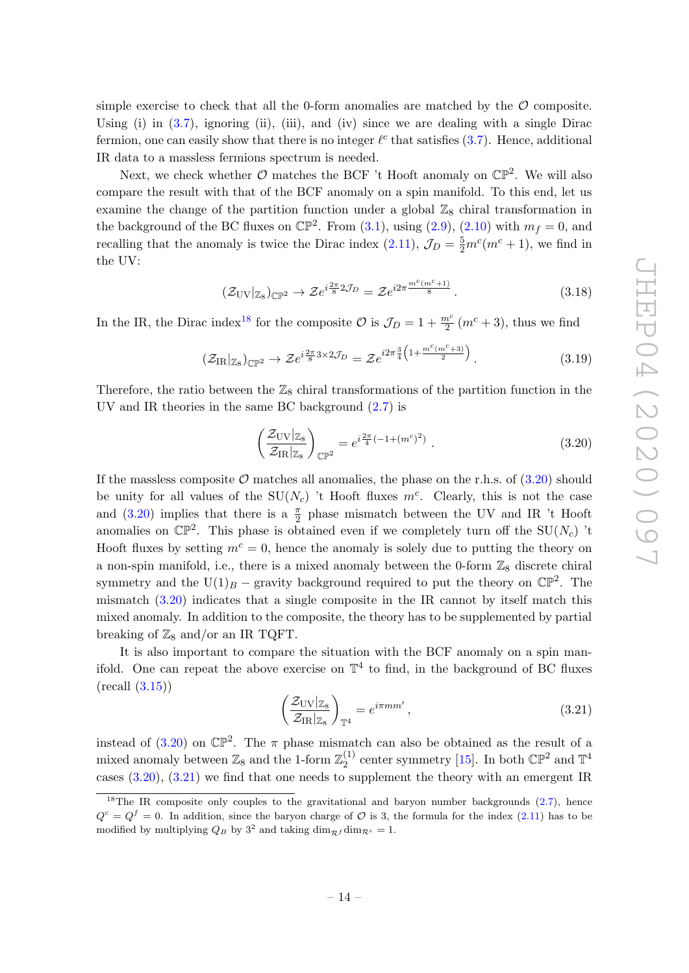simple exercise to check that all the 0-form anomalies are matched by the  $\mathcal O$  composite. Using (i) in  $(3.7)$ , ignoring (ii), (iii), and (iv) since we are dealing with a single Dirac fermion, one can easily show that there is no integer  $\ell^c$  that satisfies [\(3.7\)](#page-9-5). Hence, additional IR data to a massless fermions spectrum is needed.

Next, we check whether  $\mathcal O$  matches the BCF 't Hooft anomaly on  $\mathbb{CP}^2$ . We will also compare the result with that of the BCF anomaly on a spin manifold. To this end, let us examine the change of the partition function under a global  $\mathbb{Z}_8$  chiral transformation in the background of the BC fluxes on  $\mathbb{CP}^2$ . From [\(3.1\)](#page-8-3), using [\(2.9\)](#page-7-1), [\(2.10\)](#page-7-5) with  $m_f = 0$ , and recalling that the anomaly is twice the Dirac index [\(2.11\)](#page-7-4),  $\mathcal{J}_D = \frac{5}{2} m^c (m^c + 1)$ , we find in the UV:

$$
\left(\mathcal{Z}_{\rm UV}|_{\mathbb{Z}_8}\right)_{\mathbb{CP}^2} \to \mathcal{Z}e^{i\frac{2\pi}{8}2\mathcal{J}_D} = \mathcal{Z}e^{i2\pi\frac{m^c(m^c+1)}{8}}.\tag{3.18}
$$

In the IR, the Dirac index<sup>[18](#page-15-0)</sup> for the composite  $\mathcal{O}$  is  $\mathcal{J}_D = 1 + \frac{m^c}{2} (m^c + 3)$ , thus we find

$$
\left(\mathcal{Z}_{\mathrm{IR}}|_{\mathbb{Z}_8}\right)_{\mathbb{CP}^2} \to \mathcal{Z}e^{i\frac{2\pi}{8}3 \times 2\mathcal{J}_D} = \mathcal{Z}e^{i2\pi\frac{3}{4}\left(1 + \frac{m^c(m^c+3)}{2}\right)}.
$$
\n
$$
(3.19)
$$

Therefore, the ratio between the  $\mathbb{Z}_8$  chiral transformations of the partition function in the UV and IR theories in the same BC background [\(2.7\)](#page-6-1) is

<span id="page-15-1"></span>
$$
\left(\frac{\mathcal{Z}_{\rm UV}|_{\mathbb{Z}_8}}{\mathcal{Z}_{\rm IR}|_{\mathbb{Z}_8}}\right)_{\mathbb{CP}^2} = e^{i\frac{2\pi}{4}(-1+(m^c)^2)}\ .\tag{3.20}
$$

If the massless composite  $\mathcal O$  matches all anomalies, the phase on the r.h.s. of  $(3.20)$  should be unity for all values of the  $SU(N_c)$  't Hooft fluxes  $m^c$ . Clearly, this is not the case and [\(3.20\)](#page-15-1) implies that there is a  $\frac{\pi}{2}$  phase mismatch between the UV and IR 't Hooft anomalies on  $\mathbb{CP}^2$ . This phase is obtained even if we completely turn off the SU( $N_c$ ) 't Hooft fluxes by setting  $m^c = 0$ , hence the anomaly is solely due to putting the theory on a non-spin manifold, i.e., there is a mixed anomaly between the 0-form  $\mathbb{Z}_8$  discrete chiral symmetry and the U(1)<sub>B</sub> – gravity background required to put the theory on  $\mathbb{CP}^2$ . The mismatch [\(3.20\)](#page-15-1) indicates that a single composite in the IR cannot by itself match this mixed anomaly. In addition to the composite, the theory has to be supplemented by partial breaking of  $\mathbb{Z}_8$  and/or an IR TQFT.

It is also important to compare the situation with the BCF anomaly on a spin manifold. One can repeat the above exercise on  $\mathbb{T}^4$  to find, in the background of BC fluxes  $(\text{recall } (3.15))$  $(\text{recall } (3.15))$  $(\text{recall } (3.15))$ 

<span id="page-15-2"></span>
$$
\left(\frac{\mathcal{Z}_{\rm UV}|_{\mathbb{Z}_8}}{\mathcal{Z}_{\rm IR}|_{\mathbb{Z}_8}}\right)_{\mathbb{T}^4} = e^{i\pi mm'},\tag{3.21}
$$

instead of [\(3.20\)](#page-15-1) on  $\mathbb{CP}^2$ . The  $\pi$  phase mismatch can also be obtained as the result of a mixed anomaly between  $\mathbb{Z}_8$  and the 1-form  $\mathbb{Z}_2^{(1)}$  $_{2}^{(1)}$  center symmetry [\[15\]](#page-24-10). In both  $\mathbb{CP}^2$  and  $\mathbb{T}^4$ cases [\(3.20\)](#page-15-1), [\(3.21\)](#page-15-2) we find that one needs to supplement the theory with an emergent IR

<span id="page-15-0"></span> $18$ The IR composite only couples to the gravitational and baryon number backgrounds [\(2.7\)](#page-6-1), hence  $Q^c = Q^f = 0$ . In addition, since the baryon charge of  $\mathcal O$  is 3, the formula for the index [\(2.11\)](#page-7-4) has to be modified by multiplying  $Q_B$  by  $3^2$  and taking  $\dim_{\mathcal{R}} f \dim_{\mathcal{R}} c = 1$ .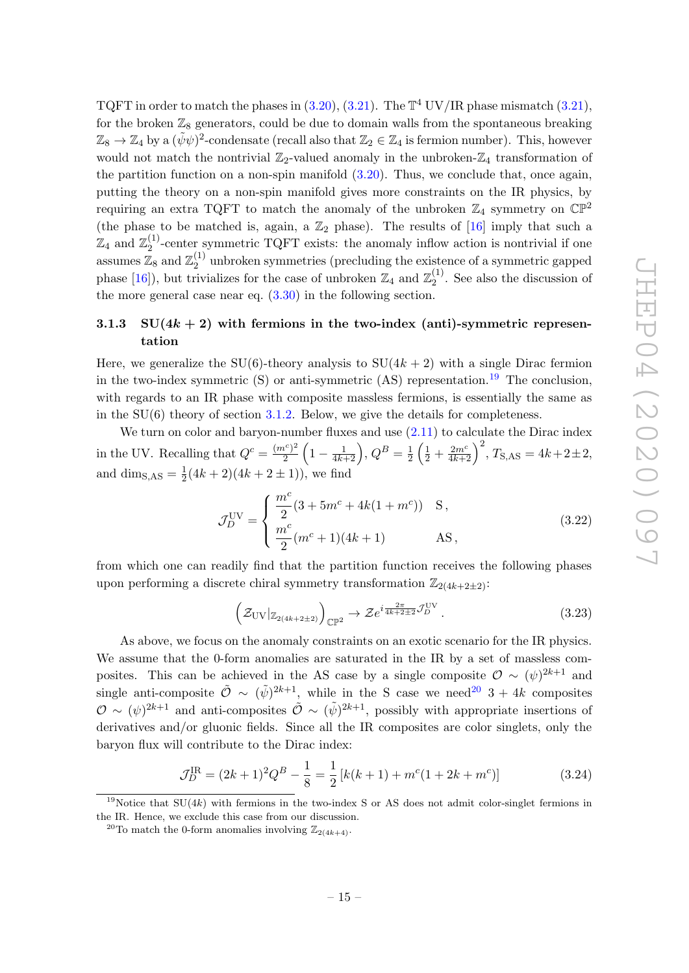TQFT in order to match the phases in  $(3.20)$ ,  $(3.21)$ . The  $\mathbb{T}^4$  UV/IR phase mismatch  $(3.21)$ , for the broken  $\mathbb{Z}_8$  generators, could be due to domain walls from the spontaneous breaking  $\mathbb{Z}_8 \to \mathbb{Z}_4$  by a  $(\tilde{\psi}\psi)^2$ -condensate (recall also that  $\mathbb{Z}_2 \in \mathbb{Z}_4$  is fermion number). This, however would not match the nontrivial  $\mathbb{Z}_2$ -valued anomaly in the unbroken- $\mathbb{Z}_4$  transformation of the partition function on a non-spin manifold [\(3.20\)](#page-15-1). Thus, we conclude that, once again, putting the theory on a non-spin manifold gives more constraints on the IR physics, by requiring an extra TQFT to match the anomaly of the unbroken  $\mathbb{Z}_4$  symmetry on  $\mathbb{CP}^2$ (the phase to be matched is, again, a  $\mathbb{Z}_2$  phase). The results of [\[16\]](#page-24-7) imply that such a  $\mathbb{Z}_4$  and  $\mathbb{Z}_2^{(1)}$  $^{(1)}_2$ -center symmetric TQFT exists: the anomaly inflow action is nontrivial if one assumes  $\mathbb{Z}_8$  and  $\mathbb{Z}_2^{(1)}$  $\frac{1}{2}$  unbroken symmetries (precluding the existence of a symmetric gapped phase [\[16\]](#page-24-7)), but trivializes for the case of unbroken  $\mathbb{Z}_4$  and  $\mathbb{Z}_2^{(1)}$  $2^{(1)}$ . See also the discussion of the more general case near eq.  $(3.30)$  in the following section.

# <span id="page-16-0"></span>3.1.3 SU( $4k + 2$ ) with fermions in the two-index (anti)-symmetric representation

Here, we generalize the SU(6)-theory analysis to  $SU(4k+2)$  with a single Dirac fermion in the two-index symmetric  $(S)$  or anti-symmetric  $(AS)$  representation.<sup>[19](#page-16-1)</sup> The conclusion, with regards to an IR phase with composite massless fermions, is essentially the same as in the  $SU(6)$  theory of section [3.1.2.](#page-14-0) Below, we give the details for completeness.

We turn on color and baryon-number fluxes and use  $(2.11)$  to calculate the Dirac index in the UV. Recalling that  $Q^c = \frac{(m^c)^2}{2}$  $\frac{a^{c})^{2}}{2}\left(1-\frac{1}{4k+2}\right), Q^{B}=\frac{1}{2}$  $\frac{1}{2} \left( \frac{1}{2} + \frac{2m^c}{4k+2} \right)^2$ ,  $T_{\text{S,AS}} = 4k + 2 \pm 2$ , and dim<sub>S,AS</sub> =  $\frac{1}{2}$  $\frac{1}{2}(4k+2)(4k+2\pm 1)$ , we find

$$
\mathcal{J}_D^{\text{UV}} = \begin{cases} \frac{m^c}{2} (3 + 5m^c + 4k(1 + m^c)) & \text{S} \,, \\ \frac{m^c}{2} (m^c + 1)(4k + 1) & \text{AS} \,, \end{cases} \tag{3.22}
$$

from which one can readily find that the partition function receives the following phases upon performing a discrete chiral symmetry transformation  $\mathbb{Z}_{2(4k+2\pm2)}$ :

$$
\left(\mathcal{Z}_{\mathrm{UV}}|_{\mathbb{Z}_{2(4k+2\pm2)}}\right)_{\mathbb{CP}^2} \to \mathcal{Z}e^{i\frac{2\pi}{4k+2\pm2}\mathcal{J}_D^{\mathrm{UV}}}\,. \tag{3.23}
$$

As above, we focus on the anomaly constraints on an exotic scenario for the IR physics. We assume that the 0-form anomalies are saturated in the IR by a set of massless composites. This can be achieved in the AS case by a single composite  $\mathcal{O} \sim (\psi)^{2k+1}$  and single anti-composite  $\tilde{\mathcal{O}} \sim (\tilde{\psi})^{2k+1}$ , while in the S case we need<sup>[20](#page-16-2)</sup> 3 + 4k composites  $\mathcal{O} \sim (\psi)^{2k+1}$  and anti-composites  $\tilde{\mathcal{O}} \sim (\tilde{\psi})^{2k+1}$ , possibly with appropriate insertions of derivatives and/or gluonic fields. Since all the IR composites are color singlets, only the baryon flux will contribute to the Dirac index:

$$
\mathcal{J}_D^{\text{IR}} = (2k+1)^2 Q^B - \frac{1}{8} = \frac{1}{2} \left[ k(k+1) + m^c (1 + 2k + m^c) \right] \tag{3.24}
$$

<span id="page-16-1"></span><sup>&</sup>lt;sup>19</sup>Notice that  $SU(4k)$  with fermions in the two-index S or AS does not admit color-singlet fermions in the IR. Hence, we exclude this case from our discussion.

<span id="page-16-2"></span><sup>&</sup>lt;sup>20</sup>To match the 0-form anomalies involving  $\mathbb{Z}_{2(4k+4)}$ .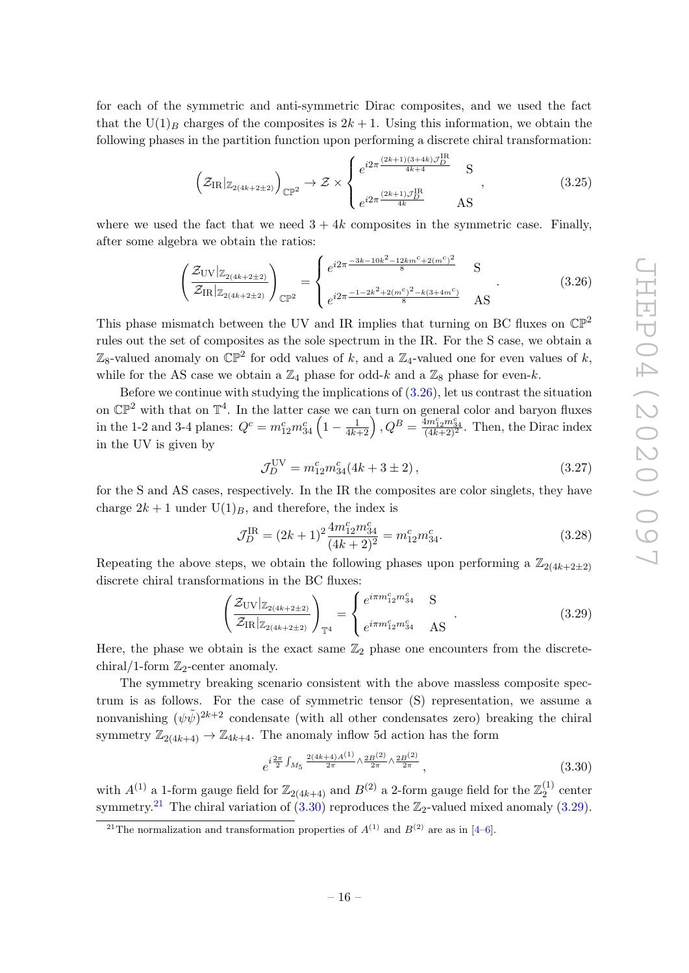for each of the symmetric and anti-symmetric Dirac composites, and we used the fact that the  $U(1)_B$  charges of the composites is  $2k + 1$ . Using this information, we obtain the following phases in the partition function upon performing a discrete chiral transformation:

$$
\left(\mathcal{Z}_{IR}|_{\mathbb{Z}_{2(4k+2\pm2)}}\right)_{\mathbb{CP}^2} \to \mathcal{Z} \times \begin{cases} e^{i2\pi \frac{(2k+1)(3+4k)\mathcal{J}_D^{\text{IR}}}{4k+4}} & S \\ e^{i2\pi \frac{(2k+1)\mathcal{J}_D^{\text{IR}}}{4k}} & AS \end{cases},
$$
(3.25)

where we used the fact that we need  $3 + 4k$  composites in the symmetric case. Finally, after some algebra we obtain the ratios:

<span id="page-17-1"></span>
$$
\left(\frac{\mathcal{Z}_{\text{UV}}|_{\mathbb{Z}_{2(4k+2\pm2)}}}{\mathcal{Z}_{\text{IR}}|_{\mathbb{Z}_{2(4k+2\pm2)}}}\right)_{\mathbb{CP}^2} = \begin{cases} e^{i2\pi \frac{-3k - 10k^2 - 12km^c + 2(m^c)^2}{8}} & \text{S} \\ e^{i2\pi \frac{-1 - 2k^2 + 2(m^c)^2 - k(3 + 4m^c)}{8}} & \text{AS} \end{cases} \tag{3.26}
$$

This phase mismatch between the UV and IR implies that turning on BC fluxes on  $\mathbb{CP}^2$ rules out the set of composites as the sole spectrum in the IR. For the S case, we obtain a  $\mathbb{Z}_8$ -valued anomaly on  $\mathbb{CP}^2$  for odd values of k, and a  $\mathbb{Z}_4$ -valued one for even values of k, while for the AS case we obtain a  $\mathbb{Z}_4$  phase for odd-k and a  $\mathbb{Z}_8$  phase for even-k.

Before we continue with studying the implications of  $(3.26)$ , let us contrast the situation on  $\mathbb{CP}^2$  with that on  $\mathbb{T}^4$ . In the latter case we can turn on general color and baryon fluxes in the 1-2 and 3-4 planes:  $Q^c = m_{12}^c m_{34}^c \left(1 - \frac{1}{4k+2}\right), Q^B = \frac{4m_{12}^c m_{34}^c}{(4k+2)^2}$ . Then, the Dirac index in the UV is given by

$$
\mathcal{J}_D^{\text{UV}} = m_{12}^c m_{34}^c (4k + 3 \pm 2) \,, \tag{3.27}
$$

for the S and AS cases, respectively. In the IR the composites are color singlets, they have charge  $2k + 1$  under  $U(1)_B$ , and therefore, the index is

$$
\mathcal{J}_D^{\text{IR}} = (2k+1)^2 \frac{4m_{12}^c m_{34}^c}{(4k+2)^2} = m_{12}^c m_{34}^c.
$$
 (3.28)

Repeating the above steps, we obtain the following phases upon performing a  $\mathbb{Z}_{2(4k+2\pm 2)}$ discrete chiral transformations in the BC fluxes:

<span id="page-17-3"></span>
$$
\left(\frac{\mathcal{Z}_{\text{UV}}|_{\mathbb{Z}_{2(4k+2\pm2)}}}{\mathcal{Z}_{\text{IR}}|_{\mathbb{Z}_{2(4k+2\pm2)}}}\right)_{\mathbb{T}^4} = \left\{\begin{matrix} e^{i\pi m_{12}^c m_{34}^c} & \text{S} \\ e^{i\pi m_{12}^c m_{34}^c} & \text{AS} \end{matrix}\right.\right. \tag{3.29}
$$

Here, the phase we obtain is the exact same  $\mathbb{Z}_2$  phase one encounters from the discretechiral/1-form  $\mathbb{Z}_2$ -center anomaly.

The symmetry breaking scenario consistent with the above massless composite spectrum is as follows. For the case of symmetric tensor (S) representation, we assume a nonvanishing  $(\psi \tilde{\psi})^{2k+2}$  condensate (with all other condensates zero) breaking the chiral symmetry  $\mathbb{Z}_{2(4k+4)} \to \mathbb{Z}_{4k+4}$ . The anomaly inflow 5d action has the form

<span id="page-17-0"></span>
$$
e^{i\frac{2\pi}{2}\int_{M_5} \frac{2(4k+4)A^{(1)}}{2\pi}\wedge \frac{2B^{(2)}}{2\pi}\wedge \frac{2B^{(2)}}{2\pi}}, \qquad (3.30)
$$

with  $A^{(1)}$  a 1-form gauge field for  $\mathbb{Z}_{2(4k+4)}$  and  $B^{(2)}$  a 2-form gauge field for the  $\mathbb{Z}_2^{(1)}$  $2^{(1)}$  center symmetry.<sup>[21](#page-17-2)</sup> The chiral variation of  $(3.30)$  reproduces the  $\mathbb{Z}_2$ -valued mixed anomaly  $(3.29)$ .

<span id="page-17-2"></span><sup>&</sup>lt;sup>21</sup>The normalization and transformation properties of  $A^{(1)}$  and  $B^{(2)}$  are as in [\[4–](#page-24-1)[6\]](#page-24-2).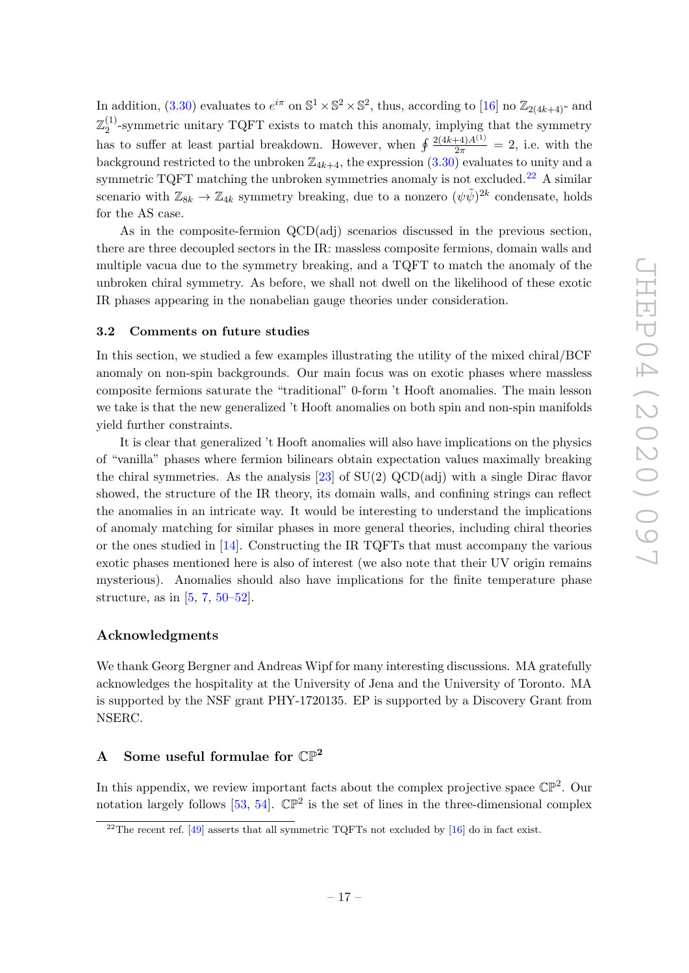In addition, [\(3.30\)](#page-17-0) evaluates to  $e^{i\pi}$  on  $\mathbb{S}^1 \times \mathbb{S}^2 \times \mathbb{S}^2$ , thus, according to [\[16\]](#page-24-7) no  $\mathbb{Z}_{2(4k+4)}$ - and  $\mathbb{Z}_2^{(1)}$  $^{(1)}_2$ -symmetric unitary TQFT exists to match this anomaly, implying that the symmetry has to suffer at least partial breakdown. However, when  $\oint \frac{2(4k+4)A^{(1)}}{2\pi} = 2$ , i.e. with the background restricted to the unbroken  $\mathbb{Z}_{4k+4}$ , the expression  $(3.30)$  evaluates to unity and a symmetric TQFT matching the unbroken symmetries anomaly is not excluded.<sup>[22](#page-18-2)</sup> A similar scenario with  $\mathbb{Z}_{8k} \to \mathbb{Z}_{4k}$  symmetry breaking, due to a nonzero  $(\psi \tilde{\psi})^{2k}$  condensate, holds for the AS case.

As in the composite-fermion QCD(adj) scenarios discussed in the previous section, there are three decoupled sectors in the IR: massless composite fermions, domain walls and multiple vacua due to the symmetry breaking, and a TQFT to match the anomaly of the unbroken chiral symmetry. As before, we shall not dwell on the likelihood of these exotic IR phases appearing in the nonabelian gauge theories under consideration.

#### <span id="page-18-0"></span>3.2 Comments on future studies

In this section, we studied a few examples illustrating the utility of the mixed chiral/BCF anomaly on non-spin backgrounds. Our main focus was on exotic phases where massless composite fermions saturate the "traditional" 0-form 't Hooft anomalies. The main lesson we take is that the new generalized 't Hooft anomalies on both spin and non-spin manifolds yield further constraints.

It is clear that generalized 't Hooft anomalies will also have implications on the physics of "vanilla" phases where fermion bilinears obtain expectation values maximally breaking the chiral symmetries. As the analysis [\[23\]](#page-25-1) of SU(2) QCD(adj) with a single Dirac flavor showed, the structure of the IR theory, its domain walls, and confining strings can reflect the anomalies in an intricate way. It would be interesting to understand the implications of anomaly matching for similar phases in more general theories, including chiral theories or the ones studied in [\[14\]](#page-24-9). Constructing the IR TQFTs that must accompany the various exotic phases mentioned here is also of interest (we also note that their UV origin remains mysterious). Anomalies should also have implications for the finite temperature phase structure, as in  $[5, 7, 50-52]$  $[5, 7, 50-52]$  $[5, 7, 50-52]$  $[5, 7, 50-52]$  $[5, 7, 50-52]$  $[5, 7, 50-52]$ .

#### Acknowledgments

We thank Georg Bergner and Andreas Wipf for many interesting discussions. MA gratefully acknowledges the hospitality at the University of Jena and the University of Toronto. MA is supported by the NSF grant PHY-1720135. EP is supported by a Discovery Grant from NSERC.

### <span id="page-18-1"></span>A Some useful formulae for  $\mathbb{CP}^2$

In this appendix, we review important facts about the complex projective space  $\mathbb{CP}^2$ . Our notation largely follows [\[53,](#page-26-4) [54\]](#page-26-5).  $\mathbb{CP}^2$  is the set of lines in the three-dimensional complex

<span id="page-18-2"></span> $^{22}$ The recent ref. [\[49\]](#page-26-6) asserts that all symmetric TQFTs not excluded by [\[16\]](#page-24-7) do in fact exist.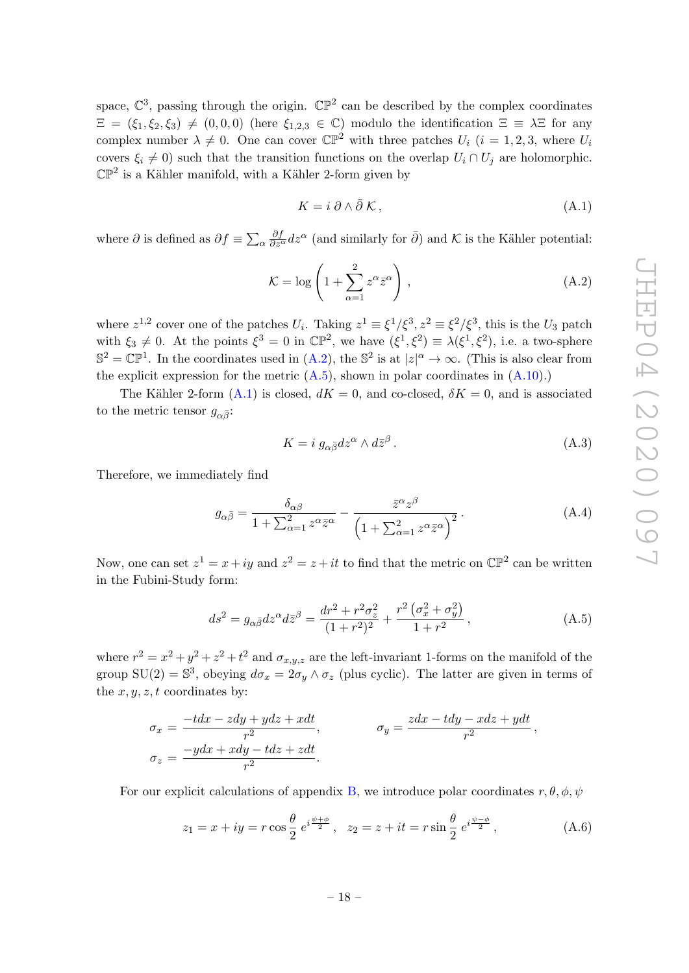space,  $\mathbb{C}^3$ , passing through the origin.  $\mathbb{CP}^2$  can be described by the complex coordinates  $\Xi = (\xi_1, \xi_2, \xi_3) \neq (0, 0, 0)$  (here  $\xi_{1,2,3} \in \mathbb{C}$ ) modulo the identification  $\Xi \equiv \lambda \Xi$  for any complex number  $\lambda \neq 0$ . One can cover  $\mathbb{CP}^2$  with three patches  $U_i$   $(i = 1, 2, 3,$  where  $U_i$ covers  $\xi_i \neq 0$ ) such that the transition functions on the overlap  $U_i \cap U_j$  are holomorphic.  $\mathbb{CP}^2$  is a Kähler manifold, with a Kähler 2-form given by

<span id="page-19-2"></span>
$$
K = i \partial \wedge \bar{\partial} \mathcal{K}, \qquad (A.1)
$$

where  $\partial$  is defined as  $\partial f \equiv \sum_{\alpha}$  $\frac{\partial f}{\partial z^{\alpha}}dz^{\alpha}$  (and similarly for  $\bar{\partial}$ ) and K is the Kähler potential:

<span id="page-19-0"></span>
$$
\mathcal{K} = \log\left(1 + \sum_{\alpha=1}^{2} z^{\alpha} \bar{z}^{\alpha}\right),\tag{A.2}
$$

where  $z^{1,2}$  cover one of the patches  $U_i$ . Taking  $z^1 \equiv \xi^1/\xi^3$ ,  $z^2 \equiv \xi^2/\xi^3$ , this is the  $U_3$  patch with  $\xi_3 \neq 0$ . At the points  $\xi^3 = 0$  in  $\mathbb{CP}^2$ , we have  $(\xi^1, \xi^2) \equiv \lambda(\xi^1, \xi^2)$ , i.e. a two-sphere  $\mathbb{S}^2 = \mathbb{CP}^1$ . In the coordinates used in  $(A.2)$ , the  $\mathbb{S}^2$  is at  $|z|^\alpha \to \infty$ . (This is also clear from the explicit expression for the metric  $(A.5)$ , shown in polar coordinates in  $(A.10)$ .)

The Kähler 2-form [\(A.1\)](#page-19-2) is closed,  $dK = 0$ , and co-closed,  $\delta K = 0$ , and is associated to the metric tensor  $g_{\alpha\bar{\beta}}$ :

$$
K = i \; g_{\alpha \bar{\beta}} dz^{\alpha} \wedge d\bar{z}^{\beta} \,. \tag{A.3}
$$

Therefore, we immediately find

$$
g_{\alpha\bar{\beta}} = \frac{\delta_{\alpha\beta}}{1 + \sum_{\alpha=1}^{2} z^{\alpha} \bar{z}^{\alpha}} - \frac{\bar{z}^{\alpha} z^{\beta}}{\left(1 + \sum_{\alpha=1}^{2} z^{\alpha} \bar{z}^{\alpha}\right)^{2}}.
$$
 (A.4)

Now, one can set  $z^1 = x + iy$  and  $z^2 = z + it$  to find that the metric on  $\mathbb{CP}^2$  can be written in the Fubini-Study form:

<span id="page-19-1"></span>
$$
ds^{2} = g_{\alpha\bar{\beta}}dz^{\alpha}d\bar{z}^{\beta} = \frac{dr^{2} + r^{2}\sigma_{z}^{2}}{(1+r^{2})^{2}} + \frac{r^{2}\left(\sigma_{x}^{2} + \sigma_{y}^{2}\right)}{1+r^{2}},
$$
\n(A.5)

where  $r^2 = x^2 + y^2 + z^2 + t^2$  and  $\sigma_{x,y,z}$  are the left-invariant 1-forms on the manifold of the group  $SU(2) = \mathbb{S}^3$ , obeying  $d\sigma_x = 2\sigma_y \wedge \sigma_z$  (plus cyclic). The latter are given in terms of the  $x, y, z, t$  coordinates by:

$$
\sigma_x = \frac{-tdx - zdy + ydz + xdt}{r^2}, \qquad \sigma_y = \frac{zdx - tdy - xdz + ydt}{r^2},
$$
  

$$
\sigma_z = \frac{-ydx + xdy - tdz + zdt}{r^2}.
$$

For our explicit calculations of appendix [B,](#page-20-0) we introduce polar coordinates  $r, \theta, \phi, \psi$ 

<span id="page-19-3"></span>
$$
z_1 = x + iy = r \cos \frac{\theta}{2} e^{i \frac{\psi + \phi}{2}}, \quad z_2 = z + it = r \sin \frac{\theta}{2} e^{i \frac{\psi - \phi}{2}}, \tag{A.6}
$$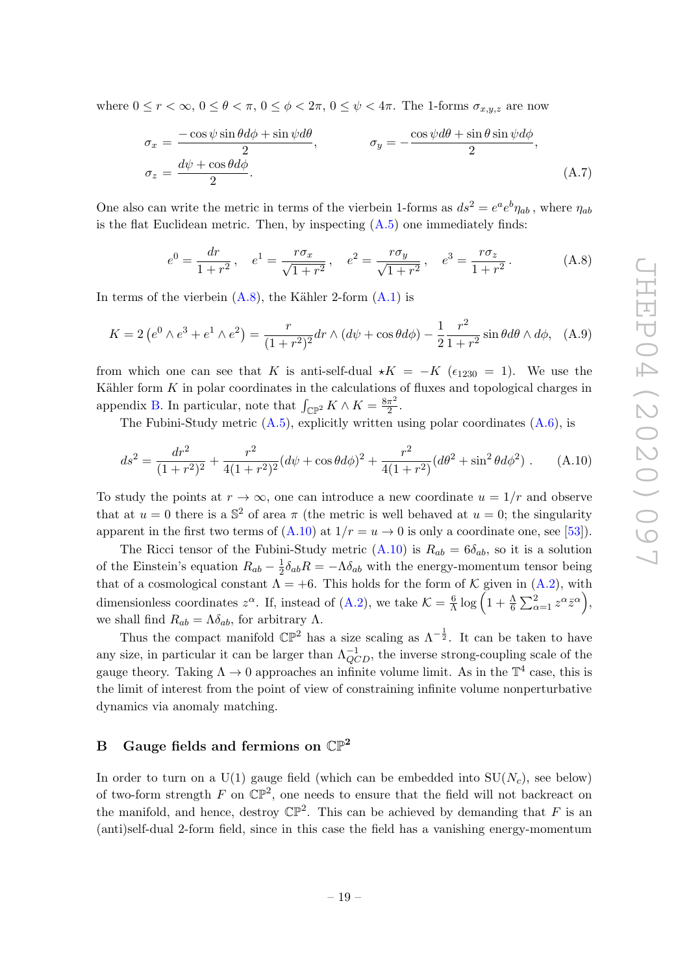where  $0 \le r < \infty$ ,  $0 \le \theta < \pi$ ,  $0 \le \phi < 2\pi$ ,  $0 \le \psi < 4\pi$ . The 1-forms  $\sigma_{x,y,z}$  are now

$$
\sigma_x = \frac{-\cos\psi\sin\theta d\phi + \sin\psi d\theta}{2}, \qquad \sigma_y = -\frac{\cos\psi d\theta + \sin\theta \sin\psi d\phi}{2},
$$

$$
\sigma_z = \frac{d\psi + \cos\theta d\phi}{2}.
$$
(A.7)

One also can write the metric in terms of the vierbein 1-forms as  $ds^2 = e^a e^b \eta_{ab}$ , where  $\eta_{ab}$ is the flat Euclidean metric. Then, by inspecting  $(A.5)$  one immediately finds:

<span id="page-20-3"></span>
$$
e^{0} = \frac{dr}{1+r^{2}}, \quad e^{1} = \frac{r\sigma_{x}}{\sqrt{1+r^{2}}}, \quad e^{2} = \frac{r\sigma_{y}}{\sqrt{1+r^{2}}}, \quad e^{3} = \frac{r\sigma_{z}}{1+r^{2}}.
$$
 (A.8)

In terms of the vierbein  $(A.8)$ , the Kähler 2-form  $(A.1)$  is

<span id="page-20-1"></span>
$$
K = 2\left(e^{0} \wedge e^{3} + e^{1} \wedge e^{2}\right) = \frac{r}{(1+r^{2})^{2}}dr \wedge (d\psi + \cos\theta d\phi) - \frac{1}{2}\frac{r^{2}}{1+r^{2}}\sin\theta d\theta \wedge d\phi, \quad (A.9)
$$

from which one can see that K is anti-self-dual  $\star K = -K$  ( $\epsilon_{1230} = 1$ ). We use the Kähler form  $K$  in polar coordinates in the calculations of fluxes and topological charges in appendix [B.](#page-20-0) In particular, note that  $\int_{\mathbb{CP}^2} K \wedge K = \frac{8\pi^2}{2}$  $\frac{\pi^2}{2}$ .

The Fubini-Study metric  $(A.5)$ , explicitly written using polar coordinates  $(A.6)$ , is

<span id="page-20-2"></span>
$$
ds^{2} = \frac{dr^{2}}{(1+r^{2})^{2}} + \frac{r^{2}}{4(1+r^{2})^{2}}(d\psi + \cos\theta d\phi)^{2} + \frac{r^{2}}{4(1+r^{2})}(d\theta^{2} + \sin^{2}\theta d\phi^{2}).
$$
 (A.10)

To study the points at  $r \to \infty$ , one can introduce a new coordinate  $u = 1/r$  and observe that at  $u = 0$  there is a  $\mathbb{S}^2$  of area  $\pi$  (the metric is well behaved at  $u = 0$ ; the singularity apparent in the first two terms of  $(A.10)$  at  $1/r = u \rightarrow 0$  is only a coordinate one, see [\[53\]](#page-26-4)).

The Ricci tensor of the Fubini-Study metric  $(A.10)$  is  $R_{ab} = 6\delta_{ab}$ , so it is a solution of the Einstein's equation  $R_{ab} - \frac{1}{2}$  $\frac{1}{2}\delta_{ab}R = -\Lambda\delta_{ab}$  with the energy-momentum tensor being that of a cosmological constant  $\Lambda = +6$ . This holds for the form of K given in [\(A.2\)](#page-19-0), with dimensionless coordinates  $z^{\alpha}$ . If, instead of [\(A.2\)](#page-19-0), we take  $\mathcal{K} = \frac{6}{\lambda}$  $\frac{6}{\Lambda}\log\left(1+\frac{\Lambda}{6}\sum_{\alpha=1}^2z^{\alpha}\bar{z}^{\alpha}\right),$ we shall find  $R_{ab} = \Lambda \delta_{ab}$ , for arbitrary  $\Lambda$ .

Thus the compact manifold  $\mathbb{CP}^2$  has a size scaling as  $\Lambda^{-\frac{1}{2}}$ . It can be taken to have any size, in particular it can be larger than  $\Lambda_{QCD}^{-1}$ , the inverse strong-coupling scale of the gauge theory. Taking  $\Lambda \to 0$  approaches an infinite volume limit. As in the  $\mathbb{T}^4$  case, this is the limit of interest from the point of view of constraining infinite volume nonperturbative dynamics via anomaly matching.

#### <span id="page-20-0"></span>B Gauge fields and fermions on  $\mathbb{CP}^2$

In order to turn on a U(1) gauge field (which can be embedded into  $SU(N_c)$ , see below) of two-form strength F on  $\mathbb{CP}^2$ , one needs to ensure that the field will not backreact on the manifold, and hence, destroy  $\mathbb{CP}^2$ . This can be achieved by demanding that F is an (anti)self-dual 2-form field, since in this case the field has a vanishing energy-momentum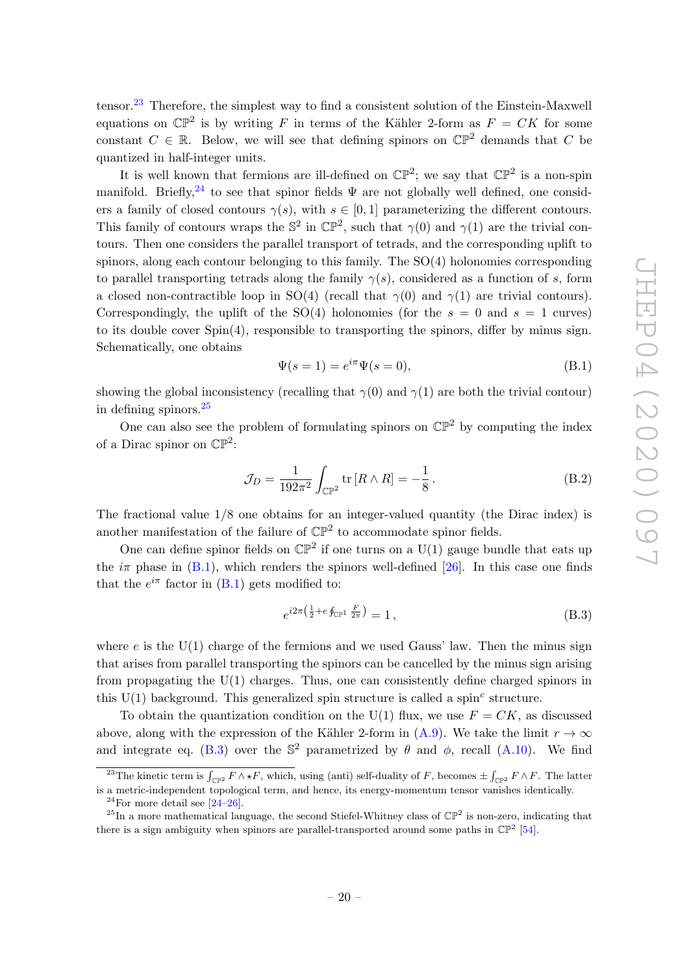tensor.[23](#page-21-0) Therefore, the simplest way to find a consistent solution of the Einstein-Maxwell equations on  $\mathbb{CP}^2$  is by writing F in terms of the Kähler 2-form as  $F = CK$  for some constant  $C \in \mathbb{R}$ . Below, we will see that defining spinors on  $\mathbb{CP}^2$  demands that C be quantized in half-integer units.

It is well known that fermions are ill-defined on  $\mathbb{CP}^2$ ; we say that  $\mathbb{CP}^2$  is a non-spin manifold. Briefly,<sup>[24](#page-21-1)</sup> to see that spinor fields  $\Psi$  are not globally well defined, one considers a family of closed contours  $\gamma(s)$ , with  $s \in [0,1]$  parameterizing the different contours. This family of contours wraps the  $\mathbb{S}^2$  in  $\mathbb{CP}^2$ , such that  $\gamma(0)$  and  $\gamma(1)$  are the trivial contours. Then one considers the parallel transport of tetrads, and the corresponding uplift to spinors, along each contour belonging to this family. The  $SO(4)$  holonomies corresponding to parallel transporting tetrads along the family  $\gamma(s)$ , considered as a function of s, form a closed non-contractible loop in SO(4) (recall that  $\gamma(0)$  and  $\gamma(1)$  are trivial contours). Correspondingly, the uplift of the  $SO(4)$  holonomies (for the  $s = 0$  and  $s = 1$  curves) to its double cover Spin(4), responsible to transporting the spinors, differ by minus sign. Schematically, one obtains

<span id="page-21-3"></span>
$$
\Psi(s=1) = e^{i\pi} \Psi(s=0),\tag{B.1}
$$

showing the global inconsistency (recalling that  $\gamma(0)$  and  $\gamma(1)$  are both the trivial contour) in defining spinors.[25](#page-21-2)

One can also see the problem of formulating spinors on  $\mathbb{CP}^2$  by computing the index of a Dirac spinor on  $\mathbb{CP}^2$ :

<span id="page-21-5"></span>
$$
\mathcal{J}_D = \frac{1}{192\pi^2} \int_{\mathbb{CP}^2} \text{tr}\left[R \wedge R\right] = -\frac{1}{8} \,. \tag{B.2}
$$

The fractional value 1/8 one obtains for an integer-valued quantity (the Dirac index) is another manifestation of the failure of  $\mathbb{CP}^2$  to accommodate spinor fields.

One can define spinor fields on  $\mathbb{CP}^2$  if one turns on a U(1) gauge bundle that eats up the  $i\pi$  phase in [\(B.1\)](#page-21-3), which renders the spinors well-defined [\[26\]](#page-25-4). In this case one finds that the  $e^{i\pi}$  factor in [\(B.1\)](#page-21-3) gets modified to:

<span id="page-21-4"></span>
$$
e^{i2\pi\left(\frac{1}{2} + e \oint_{\mathbb{CP}^1} \frac{F}{2\pi}\right)} = 1,
$$
\n(B.3)

where  $e$  is the U(1) charge of the fermions and we used Gauss' law. Then the minus sign that arises from parallel transporting the spinors can be cancelled by the minus sign arising from propagating the  $U(1)$  charges. Thus, one can consistently define charged spinors in this  $U(1)$  background. This generalized spin structure is called a spin<sup>c</sup> structure.

To obtain the quantization condition on the U(1) flux, we use  $F = CK$ , as discussed above, along with the expression of the Kähler 2-form in [\(A.9\)](#page-20-1). We take the limit  $r \to \infty$ and integrate eq. [\(B.3\)](#page-21-4) over the  $\mathbb{S}^2$  parametrized by  $\theta$  and  $\phi$ , recall [\(A.10\)](#page-20-2). We find

<span id="page-21-0"></span><sup>&</sup>lt;sup>23</sup>The kinetic term is  $\int_{\mathbb{CP}^2} F \wedge \star F$ , which, using (anti) self-duality of F, becomes  $\pm \int_{\mathbb{CP}^2} F \wedge F$ . The latter is a metric-independent topological term, and hence, its energy-momentum tensor vanishes identically.

<span id="page-21-2"></span><span id="page-21-1"></span><sup>&</sup>lt;sup>24</sup>For more detail see  $[24-26]$  $[24-26]$ .

<sup>&</sup>lt;sup>25</sup>In a more mathematical language, the second Stiefel-Whitney class of  $\mathbb{CP}^2$  is non-zero, indicating that there is a sign ambiguity when spinors are parallel-transported around some paths in  $\mathbb{CP}^2$  [\[54\]](#page-26-5).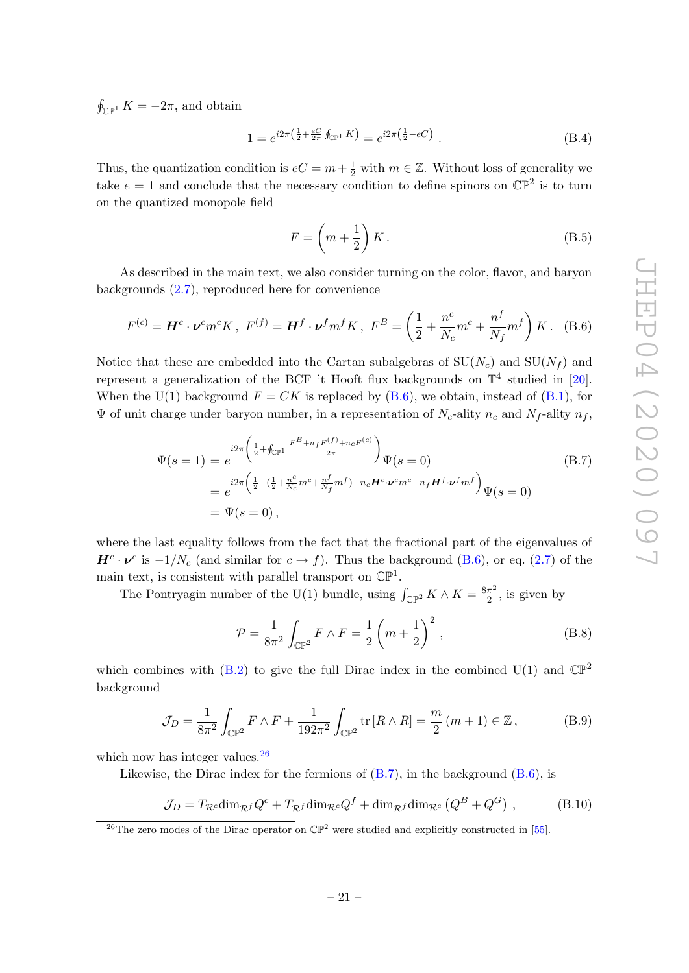$\oint_{\mathbb{CP}^1} K = -2\pi$ , and obtain

$$
1 = e^{i2\pi \left(\frac{1}{2} + \frac{eC}{2\pi} \oint_{\mathbb{CP}^1} K\right)} = e^{i2\pi \left(\frac{1}{2} - eC\right)}.
$$
\n(B.4)

Thus, the quantization condition is  $eC = m + \frac{1}{2}$  with  $m \in \mathbb{Z}$ . Without loss of generality we take  $e = 1$  and conclude that the necessary condition to define spinors on  $\mathbb{CP}^2$  is to turn on the quantized monopole field

$$
F = \left(m + \frac{1}{2}\right)K.\tag{B.5}
$$

As described in the main text, we also consider turning on the color, flavor, and baryon backgrounds [\(2.7\)](#page-6-1), reproduced here for convenience

<span id="page-22-1"></span>
$$
F^{(c)} = \boldsymbol{H}^c \cdot \boldsymbol{\nu}^c m^c K \,, \ F^{(f)} = \boldsymbol{H}^f \cdot \boldsymbol{\nu}^f m^f K \,, \ F^B = \left(\frac{1}{2} + \frac{n^c}{N_c} m^c + \frac{n^f}{N_f} m^f\right) K \,. \tag{B.6}
$$

Notice that these are embedded into the Cartan subalgebras of  $SU(N_c)$  and  $SU(N_f)$  and represent a generalization of the BCF 't Hooft flux backgrounds on  $\mathbb{T}^4$  studied in [\[20\]](#page-24-5). When the U(1) background  $F = CK$  is replaced by [\(B.6\)](#page-22-1), we obtain, instead of [\(B.1\)](#page-21-3), for  $\Psi$  of unit charge under baryon number, in a representation of  $N_c$ -ality  $n_c$  and  $N_f$ -ality  $n_f$ ,

<span id="page-22-0"></span>
$$
\Psi(s=1) = e^{i2\pi \left(\frac{1}{2} + \oint_{\mathbb{CP}^1} \frac{F^B + n_f F^{(f)} + n_c F^{(c)}}{2\pi}\right)} \Psi(s=0)
$$
\n
$$
= e^{i2\pi \left(\frac{1}{2} - \left(\frac{1}{2} + \frac{n^c}{N_c} m^c + \frac{n^f}{N_f} m^f\right) - n_c H^c \cdot \nu^c m^c - n_f H^f \cdot \nu^f m^f\right)} \Psi(s=0)
$$
\n
$$
= \Psi(s=0),
$$
\n(B.7)

where the last equality follows from the fact that the fractional part of the eigenvalues of  $H^c \cdot \nu^c$  is  $-1/N_c$  (and similar for  $c \to f$ ). Thus the background [\(B.6\)](#page-22-1), or eq. [\(2.7\)](#page-6-1) of the main text, is consistent with parallel transport on  $\mathbb{CP}^1$ .

The Pontryagin number of the U(1) bundle, using  $\int_{\mathbb{CP}^2} K \wedge K = \frac{8\pi^2}{2}$  $\frac{\pi^2}{2}$ , is given by

$$
\mathcal{P} = \frac{1}{8\pi^2} \int_{\mathbb{CP}^2} F \wedge F = \frac{1}{2} \left( m + \frac{1}{2} \right)^2 ,
$$
 (B.8)

which combines with  $(B.2)$  to give the full Dirac index in the combined U(1) and  $\mathbb{CP}^2$ background

$$
\mathcal{J}_D = \frac{1}{8\pi^2} \int_{\mathbb{CP}^2} F \wedge F + \frac{1}{192\pi^2} \int_{\mathbb{CP}^2} \text{tr} \left[ R \wedge R \right] = \frac{m}{2} \left( m + 1 \right) \in \mathbb{Z},\tag{B.9}
$$

which now has integer values.<sup>[26](#page-22-2)</sup>

Likewise, the Dirac index for the fermions of  $(B.7)$ , in the background  $(B.6)$ , is

<span id="page-22-3"></span>
$$
\mathcal{J}_D = T_{\mathcal{R}^c} \dim_{\mathcal{R}^f} Q^c + T_{\mathcal{R}^f} \dim_{\mathcal{R}^c} Q^f + \dim_{\mathcal{R}^f} \dim_{\mathcal{R}^c} \left( Q^B + Q^G \right) ,\tag{B.10}
$$

<span id="page-22-2"></span><sup>&</sup>lt;sup>26</sup>The zero modes of the Dirac operator on  $\mathbb{CP}^2$  were studied and explicitly constructed in [\[55\]](#page-26-7).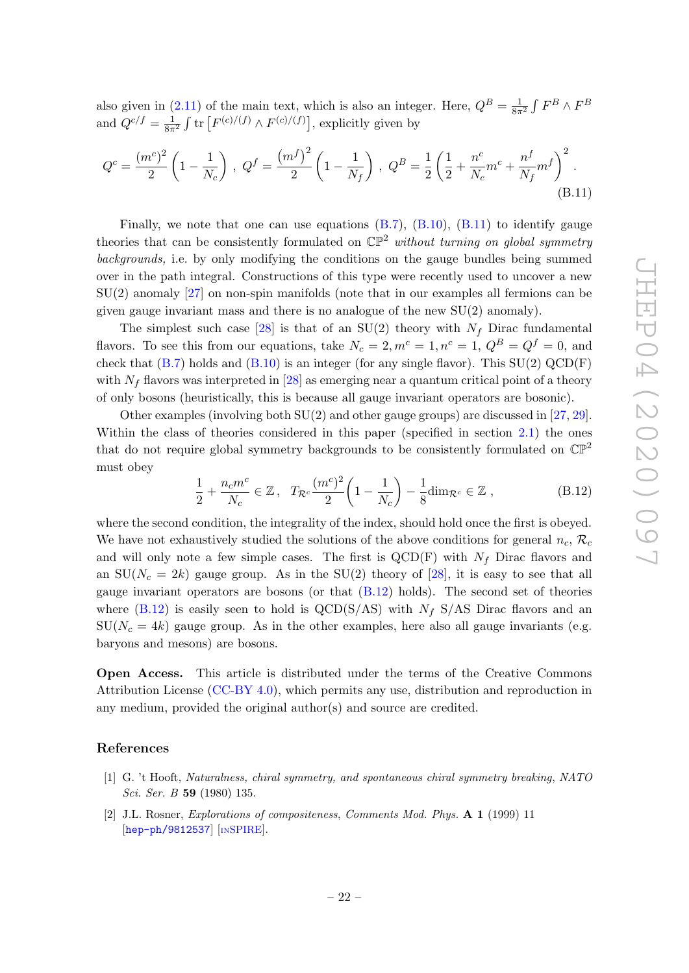also given in [\(2.11\)](#page-7-4) of the main text, which is also an integer. Here,  $Q^B = \frac{1}{8\pi^2} \int F^B \wedge F^B$ and  $Q^{c/f} = \frac{1}{8\pi^2} \int \text{tr}\left[F^{(c)/(f)} \wedge F^{(c)/(f)}\right]$ , explicitly given by

<span id="page-23-2"></span>
$$
Q^{c} = \frac{(m^{c})^{2}}{2} \left( 1 - \frac{1}{N_{c}} \right) , \ Q^{f} = \frac{(m^{f})^{2}}{2} \left( 1 - \frac{1}{N_{f}} \right) , \ Q^{B} = \frac{1}{2} \left( \frac{1}{2} + \frac{n^{c}}{N_{c}} m^{c} + \frac{n^{f}}{N_{f}} m^{f} \right)^{2} .
$$
\n(B.11)

Finally, we note that one can use equations  $(B.7)$ ,  $(B.10)$ ,  $(B.11)$  to identify gauge theories that can be consistently formulated on  $\mathbb{CP}^2$  without turning on global symmetry backgrounds, i.e. by only modifying the conditions on the gauge bundles being summed over in the path integral. Constructions of this type were recently used to uncover a new SU(2) anomaly [\[27\]](#page-25-5) on non-spin manifolds (note that in our examples all fermions can be given gauge invariant mass and there is no analogue of the new SU(2) anomaly).

The simplest such case [\[28\]](#page-25-7) is that of an SU(2) theory with  $N_f$  Dirac fundamental flavors. To see this from our equations, take  $N_c = 2, m^c = 1, n^c = 1, Q^B = Q^f = 0$ , and check that  $(B.7)$  holds and  $(B.10)$  is an integer (for any single flavor). This  $SU(2)$  QCD(F) with  $N_f$  flavors was interpreted in [\[28\]](#page-25-7) as emerging near a quantum critical point of a theory of only bosons (heuristically, this is because all gauge invariant operators are bosonic).

Other examples (involving both SU(2) and other gauge groups) are discussed in [\[27,](#page-25-5) [29\]](#page-25-6). Within the class of theories considered in this paper (specified in section [2.1\)](#page-4-1) the ones that do not require global symmetry backgrounds to be consistently formulated on  $\mathbb{CP}^2$ must obey

<span id="page-23-3"></span>
$$
\frac{1}{2} + \frac{n_c m^c}{N_c} \in \mathbb{Z}, \quad T_{\mathcal{R}^c} \frac{(m^c)^2}{2} \left( 1 - \frac{1}{N_c} \right) - \frac{1}{8} \dim_{\mathcal{R}^c} \in \mathbb{Z}, \tag{B.12}
$$

where the second condition, the integrality of the index, should hold once the first is obeyed. We have not exhaustively studied the solutions of the above conditions for general  $n_c$ ,  $\mathcal{R}_c$ and will only note a few simple cases. The first is  $QCD(F)$  with  $N_f$  Dirac flavors and an  $SU(N_c = 2k)$  gauge group. As in the  $SU(2)$  theory of [\[28\]](#page-25-7), it is easy to see that all gauge invariant operators are bosons (or that [\(B.12\)](#page-23-3) holds). The second set of theories where [\(B.12\)](#page-23-3) is easily seen to hold is QCD(S/AS) with  $N_f$  S/AS Dirac flavors and an  $SU(N_c = 4k)$  gauge group. As in the other examples, here also all gauge invariants (e.g. baryons and mesons) are bosons.

Open Access. This article is distributed under the terms of the Creative Commons Attribution License [\(CC-BY 4.0\)](https://creativecommons.org/licenses/by/4.0/), which permits any use, distribution and reproduction in any medium, provided the original author(s) and source are credited.

#### References

- <span id="page-23-0"></span>[1] G. 't Hooft, Naturalness, chiral symmetry, and spontaneous chiral symmetry breaking, NATO Sci. Ser. B 59 (1980) 135.
- <span id="page-23-1"></span>[2] J.L. Rosner, Explorations of compositeness, Comments Mod. Phys. A 1 (1999) 11 [[hep-ph/9812537](https://arxiv.org/abs/hep-ph/9812537)] [IN[SPIRE](https://inspirehep.net/search?p=find+EPRINT+hep-ph/9812537)].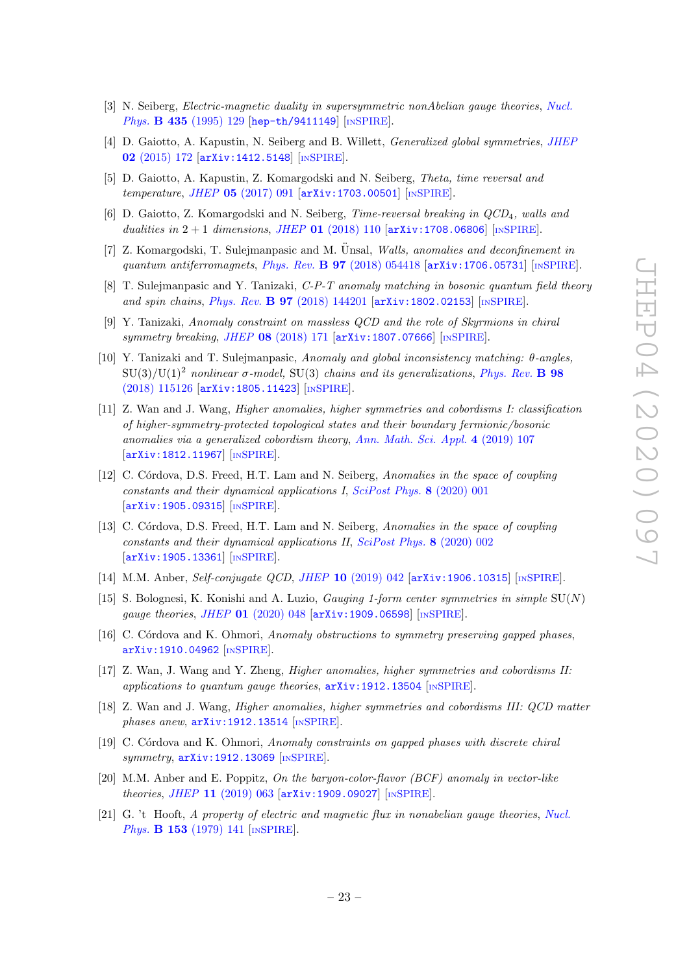- <span id="page-24-0"></span>[3] N. Seiberg, *Electric-magnetic duality in supersymmetric nonAbelian gauge theories*, *[Nucl.](https://doi.org/10.1016/0550-3213(94)00023-8)* Phys. **B 435** [\(1995\) 129](https://doi.org/10.1016/0550-3213(94)00023-8) [[hep-th/9411149](https://arxiv.org/abs/hep-th/9411149)] [IN[SPIRE](https://inspirehep.net/search?p=find+EPRINT+hep-th/9411149)].
- <span id="page-24-1"></span>[4] D. Gaiotto, A. Kapustin, N. Seiberg and B. Willett, Generalized global symmetries, [JHEP](https://doi.org/10.1007/JHEP02(2015)172) 02 [\(2015\) 172](https://doi.org/10.1007/JHEP02(2015)172) [[arXiv:1412.5148](https://arxiv.org/abs/1412.5148)] [IN[SPIRE](https://inspirehep.net/search?p=find+EPRINT+arXiv:1412.5148)].
- <span id="page-24-11"></span>[5] D. Gaiotto, A. Kapustin, Z. Komargodski and N. Seiberg, Theta, time reversal and temperature, JHEP 05 [\(2017\) 091](https://doi.org/10.1007/JHEP05(2017)091) [[arXiv:1703.00501](https://arxiv.org/abs/1703.00501)] [IN[SPIRE](https://inspirehep.net/search?p=find+EPRINT+arXiv:1703.00501)].
- <span id="page-24-2"></span>[6] D. Gaiotto, Z. Komargodski and N. Seiberg, Time-reversal breaking in QCD4, walls and dualities in  $2 + 1$  dimensions, JHEP 01 [\(2018\) 110](https://doi.org/10.1007/JHEP01(2018)110)  $\left[ \text{arXiv:1708.06806} \right]$  $\left[ \text{arXiv:1708.06806} \right]$  $\left[ \text{arXiv:1708.06806} \right]$  [IN[SPIRE](https://inspirehep.net/search?p=find+EPRINT+arXiv:1708.06806)].
- <span id="page-24-3"></span>[7] Z. Komargodski, T. Sulejmanpasic and M. Unsal, *Walls, anomalies and deconfinement in* quantum antiferromagnets, Phys. Rev. B 97 [\(2018\) 054418](https://doi.org/10.1103/PhysRevB.97.054418) [[arXiv:1706.05731](https://arxiv.org/abs/1706.05731)] [IN[SPIRE](https://inspirehep.net/search?p=find+EPRINT+arXiv:1706.05731)].
- [8] T. Sulejmanpasic and Y. Tanizaki, C-P-T anomaly matching in bosonic quantum field theory and spin chains, Phys. Rev. B 97 [\(2018\) 144201](https://doi.org/10.1103/PhysRevB.97.144201) [[arXiv:1802.02153](https://arxiv.org/abs/1802.02153)] [IN[SPIRE](https://inspirehep.net/search?p=find+EPRINT+arXiv:1802.02153)].
- [9] Y. Tanizaki, Anomaly constraint on massless QCD and the role of Skyrmions in chiral symmetry breaking, JHEP 08 [\(2018\) 171](https://doi.org/10.1007/JHEP08(2018)171) [[arXiv:1807.07666](https://arxiv.org/abs/1807.07666)] [IN[SPIRE](https://inspirehep.net/search?p=find+EPRINT+arXiv:1807.07666)].
- [10] Y. Tanizaki and T. Sulejmanpasic, Anomaly and global inconsistency matching: θ-angles,  $SU(3)/U(1)^2$  nonlinear  $\sigma$ -model, SU(3) chains and its generalizations, [Phys. Rev.](https://doi.org/10.1103/PhysRevB.98.115126) **B** 98 [\(2018\) 115126](https://doi.org/10.1103/PhysRevB.98.115126) [[arXiv:1805.11423](https://arxiv.org/abs/1805.11423)] [IN[SPIRE](https://inspirehep.net/search?p=find+EPRINT+arXiv:1805.11423)].
- [11] Z. Wan and J. Wang, Higher anomalies, higher symmetries and cobordisms I: classification of higher-symmetry-protected topological states and their boundary fermionic/bosonic anomalies via a generalized cobordism theory, [Ann. Math. Sci. Appl.](https://doi.org/10.4310/AMSA.2019.v4.n2.a2) 4 (2019) 107 [[arXiv:1812.11967](https://arxiv.org/abs/1812.11967)] [IN[SPIRE](https://inspirehep.net/search?p=find+EPRINT+arXiv:1812.11967)].
- [12] C. Córdova, D.S. Freed, H.T. Lam and N. Seiberg, Anomalies in the space of coupling constants and their dynamical applications I, [SciPost Phys.](https://doi.org/10.21468/SciPostPhys.8.1.001) 8 (2020) 001 [[arXiv:1905.09315](https://arxiv.org/abs/1905.09315)] [IN[SPIRE](https://inspirehep.net/search?p=find+EPRINT+arXiv:1905.09315)].
- <span id="page-24-8"></span>[13] C. Córdova, D.S. Freed, H.T. Lam and N. Seiberg, Anomalies in the space of coupling constants and their dynamical applications II, [SciPost Phys.](https://doi.org/10.21468/SciPostPhys.8.1.002) 8 (2020) 002 [[arXiv:1905.13361](https://arxiv.org/abs/1905.13361)] [IN[SPIRE](https://inspirehep.net/search?p=find+EPRINT+arXiv:1905.13361)].
- <span id="page-24-9"></span>[14] M.M. Anber, Self-conjugate QCD, JHEP 10 [\(2019\) 042](https://doi.org/10.1007/JHEP10(2019)042) [[arXiv:1906.10315](https://arxiv.org/abs/1906.10315)] [IN[SPIRE](https://inspirehep.net/search?p=find+EPRINT+arXiv:1906.10315)].
- <span id="page-24-10"></span>[15] S. Bolognesi, K. Konishi and A. Luzio, *Gauging 1-form center symmetries in simple*  $SU(N)$ gauge theories, JHEP 01 [\(2020\) 048](https://doi.org/10.1007/JHEP01(2020)048) [[arXiv:1909.06598](https://arxiv.org/abs/1909.06598)] [IN[SPIRE](https://inspirehep.net/search?p=find+EPRINT+arXiv:1909.06598)].
- <span id="page-24-7"></span>[16] C. Córdova and K. Ohmori, Anomaly obstructions to symmetry preserving gapped phases, [arXiv:1910.04962](https://arxiv.org/abs/1910.04962) [IN[SPIRE](https://inspirehep.net/search?p=find+EPRINT+arXiv:1910.04962)].
- [17] Z. Wan, J. Wang and Y. Zheng, Higher anomalies, higher symmetries and cobordisms II: applications to quantum gauge theories,  $arXiv:1912.13504$  [IN[SPIRE](https://inspirehep.net/search?p=find+EPRINT+arXiv:1912.13504)].
- [18] Z. Wan and J. Wang, Higher anomalies, higher symmetries and cobordisms III: QCD matter  $phases$  anew,  $arXiv:1912.13514$  [IN[SPIRE](https://inspirehep.net/search?p=find+EPRINT+arXiv:1912.13514)].
- <span id="page-24-4"></span>[19] C. Córdova and K. Ohmori, Anomaly constraints on gapped phases with discrete chiral symmetry,  $arXiv:1912.13069$  [IN[SPIRE](https://inspirehep.net/search?p=find+EPRINT+arXiv:1912.13069)].
- <span id="page-24-5"></span>[20] M.M. Anber and E. Poppitz, On the baryon-color-flavor (BCF) anomaly in vector-like theories, JHEP 11 [\(2019\) 063](https://doi.org/10.1007/JHEP11(2019)063) [[arXiv:1909.09027](https://arxiv.org/abs/1909.09027)] [IN[SPIRE](https://inspirehep.net/search?p=find+EPRINT+arXiv:1909.09027)].
- <span id="page-24-6"></span>[21] G. 't Hooft, A property of electric and magnetic flux in nonabelian gauge theories, [Nucl.](https://doi.org/10.1016/0550-3213(79)90595-9) Phys. **B 153** [\(1979\) 141](https://doi.org/10.1016/0550-3213(79)90595-9) [IN[SPIRE](https://inspirehep.net/search?p=find+J+%22Nucl.Phys.,B153,141%22)].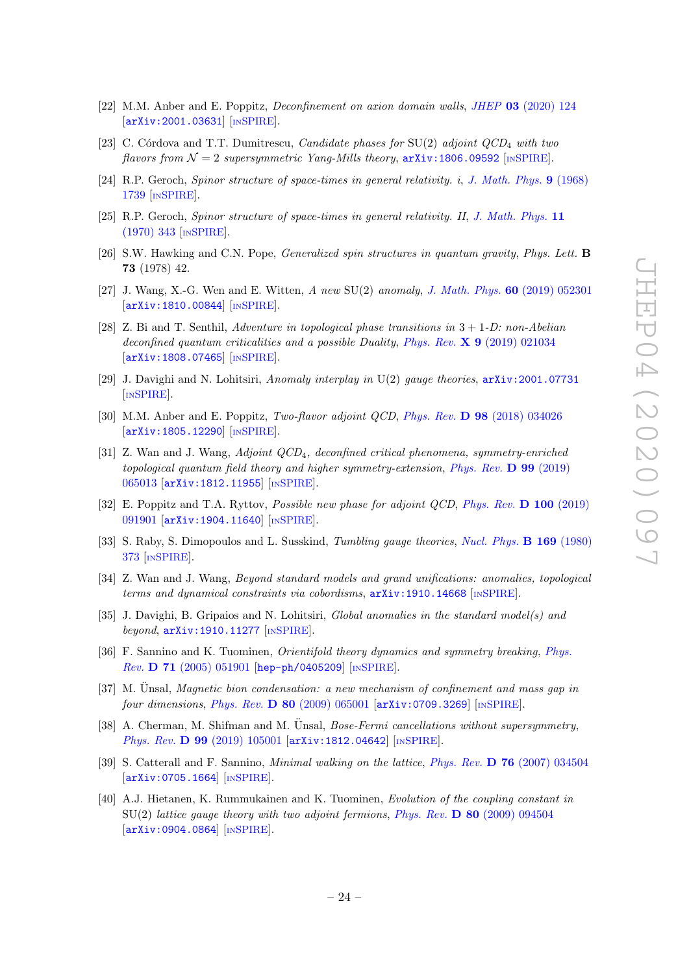- <span id="page-25-0"></span>[22] M.M. Anber and E. Poppitz, Deconfinement on axion domain walls, JHEP 03 [\(2020\) 124](https://doi.org/10.1007/JHEP03(2020)124) [[arXiv:2001.03631](https://arxiv.org/abs/2001.03631)] [IN[SPIRE](https://inspirehep.net/search?p=find+EPRINT+arXiv:2001.03631)].
- <span id="page-25-1"></span>[23] C. Córdova and T.T. Dumitrescu, *Candidate phases for*  $SU(2)$  *adjoint QCD<sub>4</sub> with two* flavors from  $\mathcal{N} = 2$  supersymmetric Yang-Mills theory,  $\ar{xiv:1806.09592}$  [IN[SPIRE](https://inspirehep.net/search?p=find+EPRINT+arXiv:1806.09592)].
- <span id="page-25-2"></span>[24] R.P. Geroch, Spinor structure of space-times in general relativity. i, [J. Math. Phys.](https://doi.org/10.1063/1.1664507) 9 (1968) [1739](https://doi.org/10.1063/1.1664507) [IN[SPIRE](https://inspirehep.net/search?p=find+J+%22J.Math.Phys.,9,1739%22)].
- <span id="page-25-3"></span>[25] R.P. Geroch, Spinor structure of space-times in general relativity. II, [J. Math. Phys.](https://doi.org/10.1063/1.1665067) 11 [\(1970\) 343](https://doi.org/10.1063/1.1665067) [IN[SPIRE](https://inspirehep.net/search?p=find+J+%22J.Math.Phys.,11,343%22)].
- <span id="page-25-4"></span>[26] S.W. Hawking and C.N. Pope, Generalized spin structures in quantum gravity, Phys. Lett. B 73 (1978) 42.
- <span id="page-25-5"></span>[27] J. Wang, X.-G. Wen and E. Witten, A new SU(2) anomaly, [J. Math. Phys.](https://doi.org/10.1063/1.5082852) 60 (2019) 052301 [[arXiv:1810.00844](https://arxiv.org/abs/1810.00844)] [IN[SPIRE](https://inspirehep.net/search?p=find+EPRINT+arXiv:1810.00844)].
- <span id="page-25-7"></span>[28] Z. Bi and T. Senthil, Adventure in topological phase transitions in  $3 + 1$ -D: non-Abelian deconfined quantum criticalities and a possible Duality, Phys. Rev.  $\mathbf{X}$  9 [\(2019\) 021034](https://doi.org/10.1103/PhysRevX.9.021034) [[arXiv:1808.07465](https://arxiv.org/abs/1808.07465)] [IN[SPIRE](https://inspirehep.net/search?p=find+EPRINT+arXiv:1808.07465)].
- <span id="page-25-6"></span>[29] J. Davighi and N. Lohitsiri, Anomaly interplay in U(2) gauge theories, [arXiv:2001.07731](https://arxiv.org/abs/2001.07731) [IN[SPIRE](https://inspirehep.net/search?p=find+EPRINT+arXiv:2001.07731)].
- <span id="page-25-8"></span>[30] M.M. Anber and E. Poppitz, Two-flavor adjoint QCD, Phys. Rev. D 98 [\(2018\) 034026](https://doi.org/10.1103/PhysRevD.98.034026) [[arXiv:1805.12290](https://arxiv.org/abs/1805.12290)] [IN[SPIRE](https://inspirehep.net/search?p=find+EPRINT+arXiv:1805.12290)].
- <span id="page-25-13"></span>[31] Z. Wan and J. Wang, Adjoint QCD4, deconfined critical phenomena, symmetry-enriched topological quantum field theory and higher symmetry-extension, [Phys. Rev.](https://doi.org/10.1103/PhysRevD.99.065013) D 99 (2019) [065013](https://doi.org/10.1103/PhysRevD.99.065013) [[arXiv:1812.11955](https://arxiv.org/abs/1812.11955)] [IN[SPIRE](https://inspirehep.net/search?p=find+EPRINT+arXiv:1812.11955)].
- <span id="page-25-9"></span>[32] E. Poppitz and T.A. Ryttov, *Possible new phase for adjoint QCD*, *[Phys. Rev.](https://doi.org/10.1103/PhysRevD.100.091901)* **D** 100 (2019) [091901](https://doi.org/10.1103/PhysRevD.100.091901) [[arXiv:1904.11640](https://arxiv.org/abs/1904.11640)] [IN[SPIRE](https://inspirehep.net/search?p=find+EPRINT+arXiv:1904.11640)].
- <span id="page-25-10"></span>[33] S. Raby, S. Dimopoulos and L. Susskind, *Tumbling gauge theories, [Nucl. Phys.](https://doi.org/10.1016/0550-3213(80)90093-0)* **B 169** (1980) [373](https://doi.org/10.1016/0550-3213(80)90093-0) [IN[SPIRE](https://inspirehep.net/search?p=find+J+%22Nucl.Phys.,B169,373%22)].
- <span id="page-25-11"></span>[34] Z. Wan and J. Wang, Beyond standard models and grand unifications: anomalies, topological terms and dynamical constraints via cobordisms, [arXiv:1910.14668](https://arxiv.org/abs/1910.14668) [IN[SPIRE](https://inspirehep.net/search?p=find+EPRINT+arXiv:1910.14668)].
- <span id="page-25-12"></span>[35] J. Davighi, B. Gripaios and N. Lohitsiri, *Global anomalies in the standard model(s) and* beyond, [arXiv:1910.11277](https://arxiv.org/abs/1910.11277) [IN[SPIRE](https://inspirehep.net/search?p=find+EPRINT+arXiv:1910.11277)].
- <span id="page-25-14"></span>[36] F. Sannino and K. Tuominen, *Orientifold theory dynamics and symmetry breaking*, *[Phys.](https://doi.org/10.1103/PhysRevD.71.051901)* Rev. D 71 [\(2005\) 051901](https://doi.org/10.1103/PhysRevD.71.051901) [[hep-ph/0405209](https://arxiv.org/abs/hep-ph/0405209)] [IN[SPIRE](https://inspirehep.net/search?p=find+EPRINT+hep-ph/0405209)].
- $[37]$  M. Unsal, *Magnetic bion condensation: a new mechanism of confinement and mass gap in* four dimensions, Phys. Rev.  $\bf{D}$  80 [\(2009\) 065001](https://doi.org/10.1103/PhysRevD.80.065001)  $\bf{arXiv:}$  0709.3269  $\bf{ln}$ [SPIRE](https://inspirehep.net/search?p=find+EPRINT+arXiv:0709.3269).
- <span id="page-25-15"></span>[38] A. Cherman, M. Shifman and M. Unsal, *Bose-Fermi cancellations without supersymmetry*, Phys. Rev. D 99 [\(2019\) 105001](https://doi.org/10.1103/PhysRevD.99.105001) [[arXiv:1812.04642](https://arxiv.org/abs/1812.04642)] [IN[SPIRE](https://inspirehep.net/search?p=find+EPRINT+arXiv:1812.04642)].
- <span id="page-25-16"></span>[39] S. Catterall and F. Sannino, *Minimal walking on the lattice, Phys. Rev.* **D 76** [\(2007\) 034504](https://doi.org/10.1103/PhysRevD.76.034504) [[arXiv:0705.1664](https://arxiv.org/abs/0705.1664)] [IN[SPIRE](https://inspirehep.net/search?p=find+EPRINT+arXiv:0705.1664)].
- [40] A.J. Hietanen, K. Rummukainen and K. Tuominen, Evolution of the coupling constant in SU(2) lattice gauge theory with two adjoint fermions, Phys. Rev. D 80 [\(2009\) 094504](https://doi.org/10.1103/PhysRevD.80.094504) [[arXiv:0904.0864](https://arxiv.org/abs/0904.0864)] [IN[SPIRE](https://inspirehep.net/search?p=find+EPRINT+arXiv:0904.0864)].